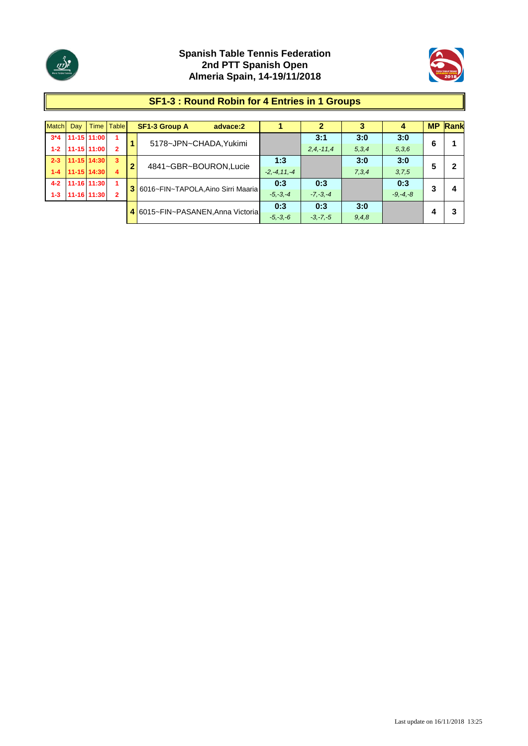



#### **SF1-3 : Round Robin for 4 Entries in 1 Groups**

| <b>Match</b> | Day |                 | Time   Table            |                | <b>SF1-3 Group A</b><br>advace:2   |                  |                |       | 4            |   | <b>MP Rank</b> |
|--------------|-----|-----------------|-------------------------|----------------|------------------------------------|------------------|----------------|-------|--------------|---|----------------|
| $3*4$        |     | 11-15 11:00     |                         | 1              | 5178~JPN~CHADA, Yukimi             |                  | 3:1            | 3:0   | 3:0          | 6 |                |
| $1 - 2$      |     | 11-15 11:00     | $\overline{2}$          |                |                                    |                  | $2, 4, -11, 4$ | 5,3,4 | 5,3,6        |   |                |
| $2 - 3$      |     | $11 - 15$ 14:30 | $\overline{\mathbf{3}}$ | $\overline{2}$ | 4841~GBR~BOURON, Lucie             | 1:3              |                | 3:0   | 3:0          | 5 |                |
| $1-4$        |     | 11-15 14:30     | 4                       |                |                                    | $-2, -4, 11, -4$ |                | 7,3,4 | 3,7,5        |   |                |
| $4 - 2$      |     | 11-16 11:30     |                         | 3              | 6016~FIN~TAPOLA, Aino Sirri Maaria | 0:3              | 0:3            |       | 0:3          | 3 | 4              |
| $1-3$        |     | 11-16 11:30     | $\overline{2}$          |                |                                    | $-5, -3, -4$     | $-7, -3, -4$   |       | $-9, -4, -8$ |   |                |
|              |     |                 |                         |                | 4 6015~FIN~PASANEN, Anna Victoria  | 0:3              | 0:3            | 3:0   |              |   |                |
|              |     |                 |                         |                |                                    | $-5, -3, -6$     | $-3, -7, -5$   | 9,4,8 |              |   |                |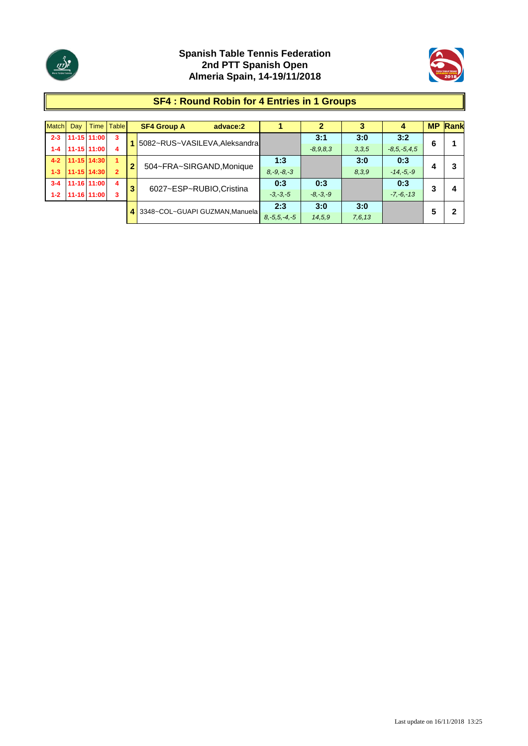



### **SF4 : Round Robin for 4 Entries in 1 Groups**

| <b>Match</b> | Dav | Time I        | <b>Table</b>   |                | <b>SF4 Group A</b><br>advace:2 |                    |              |          | 4                 | <b>MP</b> | Rank |
|--------------|-----|---------------|----------------|----------------|--------------------------------|--------------------|--------------|----------|-------------------|-----------|------|
| $2 - 3$      |     | $11-15$ 11:00 | 3              |                | 5082~RUS~VASILEVA, Aleksandra  |                    | 3:1          | 3:0      | 3:2               | 6         |      |
| $1 - 4$      |     | 11-15 11:00   | 4              |                |                                |                    | $-8,9,8,3$   | 3,3,5    | $-8, 5, -5, 4, 5$ |           |      |
| $4 - 2$      |     | 11-15 14:30   | 1              | $\overline{2}$ |                                | 1:3                |              | 3:0      | 0:3               |           |      |
| $1 - 3$      |     | 11-15 14:30   | $\overline{2}$ |                | 504~FRA~SIRGAND, Monique       | $8, -9, -8, -3$    |              | 8,3,9    | $-14,-5,-9$       | 4         |      |
| $3 - 4$      |     | 11-16 11:00   | 4              | 3              | 6027~ESP~RUBIO, Cristina       | 0:3                | 0:3          |          | 0:3               | 3         |      |
| $1 - 2$      |     | 11-16 11:00   | 3              |                |                                | $-3, -3, -5$       | $-8, -3, -9$ |          | $-7, -6, -13$     |           |      |
|              |     |               |                | 4              | 3348~COL~GUAPI GUZMAN, Manuela | 2:3                | 3:0          | 3:0      |                   | 5         |      |
|              |     |               |                |                |                                | $8, -5, 5, -4, -5$ | 14,5,9       | 7, 6, 13 |                   |           |      |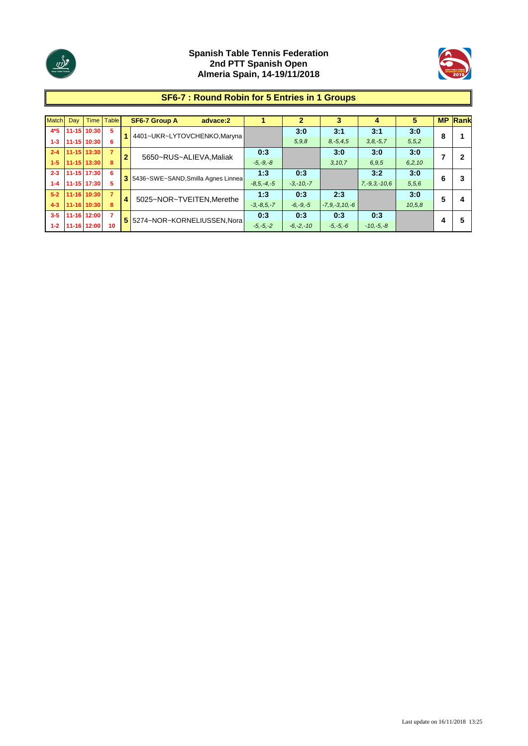



# **SF6-7 : Round Robin for 5 Entries in 1 Groups**

| <b>Match</b> | Dav | <b>Time</b> | <b>Table</b>   |                | <b>SF6-7 Group A</b><br>advace:2     |                 | $\mathbf 2$   | 3                   | 4                  | 5        | <b>MP</b> | Rank |
|--------------|-----|-------------|----------------|----------------|--------------------------------------|-----------------|---------------|---------------------|--------------------|----------|-----------|------|
| $4*5$        |     | 11-15 10:30 | 5              |                | 4401~UKR~LYTOVCHENKO,Maryna          |                 | 3:0           | 3:1                 | 3:1                | 3:0      | 8         |      |
| $1 - 3$      |     | 11-15 10:30 |                |                |                                      |                 | 5,9,8         | $8, -5, 4, 5$       | $3, 8, -5, 7$      | 5, 5, 2  |           |      |
| $2 - 4$      |     | 11-15 13:30 | 7              | $\overline{2}$ | 5650~RUS~ALIEVA, Maliak              | 0:3             |               | 3:0                 | 3:0                | 3:0      |           |      |
| $1 - 5$      |     | 11-15 13:30 | 8              |                |                                      | $-5, -9, -8$    |               | 3, 10, 7            | 6,9,5              | 6, 2, 10 |           |      |
| $2 - 3$      |     | 11-15 17:30 | 6              |                | 3 5436~SWE~SAND, Smilla Agnes Linnea | 1:3             | 0:3           |                     | 3:2                | 3:0      | 6         | 3    |
| $1 - 4$      |     | 11-15 17:30 |                |                |                                      | $-8.5 - 4 - 5$  | $-3,-10,-7$   |                     | $7, -9, 3, -10, 6$ | 5,5,6    |           |      |
| $5-2$        |     | 11-16 10:30 | $\overline{7}$ | 4              | 5025~NOR~TVEITEN, Merethe            | 1:3             | 0:3           | 2:3                 |                    | 3:0      | 5         | 4    |
| $4 - 3$      |     | 11-16 10:30 | 8              |                |                                      | $-3, -8, 5, -7$ | $-6, -9, -5$  | $-7, 9, -3, 10, -6$ |                    | 10, 5, 8 |           |      |
| $3 - 5$      |     | 11-16 12:00 | 7              |                | 5 5274~NOR~KORNELIUSSEN, Nora        | 0:3             | 0:3           | 0:3                 | 0:3                |          | 4         | 5    |
| $1 - 2$      |     | 11-16 12:00 | 10             |                |                                      | $-5, -5, -2$    | $-6, -2, -10$ | $-5, -5, -6$        | $-10,-5,-8$        |          |           |      |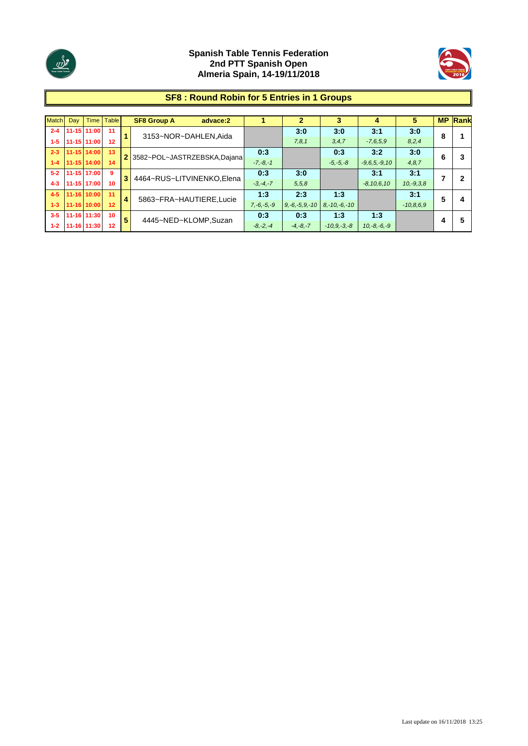



# **SF8 : Round Robin for 5 Entries in 1 Groups**

| <b>Match</b> | Dav | <b>Time</b> | <b>Table</b>    |                | <b>SF8 Group A</b><br>advace:2 |              | $\mathbf{2}$        | 3                 | 4               | 5           |   | <b>MP Rank</b> |
|--------------|-----|-------------|-----------------|----------------|--------------------------------|--------------|---------------------|-------------------|-----------------|-------------|---|----------------|
| $2 - 4$      |     | 11-15 11:00 | 11              | $\blacksquare$ | 3153~NOR~DAHLEN, Aida          |              | 3:0                 | 3:0               | 3:1             | 3:0         | 8 |                |
| $1 - 5$      |     | 11-15 11:00 | 12              |                |                                |              | 7,8,1               | 3, 4, 7           | $-7,6,5,9$      | 8,2,4       |   |                |
| $2 - 3$      |     | 11-15 14:00 | 13              |                | 2 3582~POL~JASTRZEBSKA,Dajana  | 0:3          |                     | 0:3               | 3:2             | 3:0         | 6 |                |
| $1 - 4$      |     | 11-15 14:00 | 14              |                |                                | $-7, -8, -1$ |                     | $-5, -5, -8$      | $-9,6,5,-9,10$  | 4, 8, 7     |   |                |
| $5-2$        |     | 11-15 17:00 | 9               | 3              | 4464~RUS~LITVINENKO.Elena      | 0:3          | 3:0                 |                   | 3:1             | 3:1         | 7 | 2              |
| $4 - 3$      |     | 11-15 17:00 | 10              |                |                                | $-3, -4, -7$ | 5,5,8               |                   | $-8, 10, 6, 10$ | $10,-9,3,8$ |   |                |
| $4 - 5$      |     | 11-16 10:00 | 11              | 4              | 5863~FRA~HAUTIERE,Lucie        | 1:3          | 2:3                 | 1:3               |                 | 3:1         | 5 | 4              |
| $1 - 3$      |     | 11-16 10:00 | 12              |                |                                | $7,-6,-5,-9$ | $9, -6, -5, 9, -10$ | $8, -10, -6, -10$ |                 | $-10,8,6,9$ |   |                |
| $3 - 5$      |     | 11-16 11:30 | 10 <sup>1</sup> | 5              | 4445~NED~KLOMP,Suzan           | 0:3          | 0:3                 | 1:3               | 1:3             |             | 4 | 5              |
| $1 - 2$      |     | 11-16 11:30 | 12              |                |                                | $-8, -2, -4$ | $-4,-8,-7$          | $-10.9 - 3 - 8$   | $10,-8,-6,-9$   |             |   |                |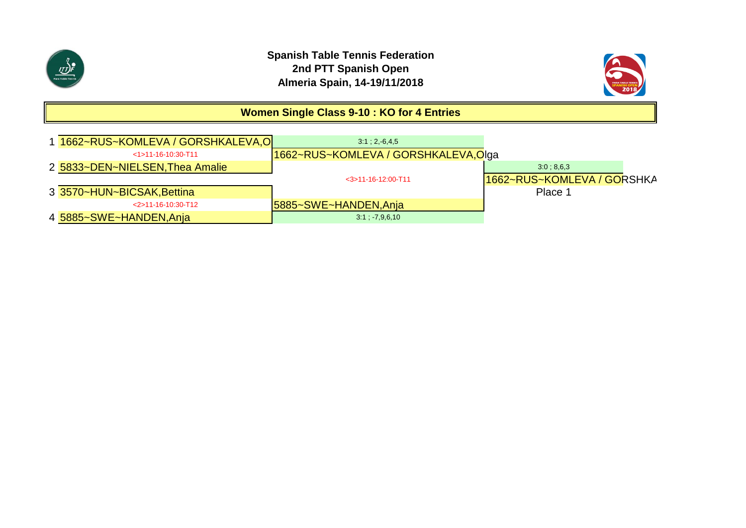



# **Women Single Class 9-10 : KO for 4 Entries**

| 1662~RUS~KOMLEVA / GORSHKALEVA,O | 3:1:2.6.4.5                         |                            |
|----------------------------------|-------------------------------------|----------------------------|
| $<$ 1>11-16-10:30-T11            | 1662~RUS~KOMLEVA / GORSHKALEVA,Olga |                            |
| 2 5833~DEN~NIELSEN, Thea Amalie  |                                     | $3.0 \div 8.6.3$           |
|                                  | $<$ 3>11-16-12:00-T11               | 1662~RUS~KOMLEVA / GORSHKA |
| 3 3570~HUN~BICSAK, Bettina       |                                     | Place 1                    |
| $<$ 2>11-16-10:30-T12            | <b>5885~SWE~HANDEN, Anja</b>        |                            |
| 4 5885~SWE~HANDEN,Anja           | 3.1, 7,9,6,10                       |                            |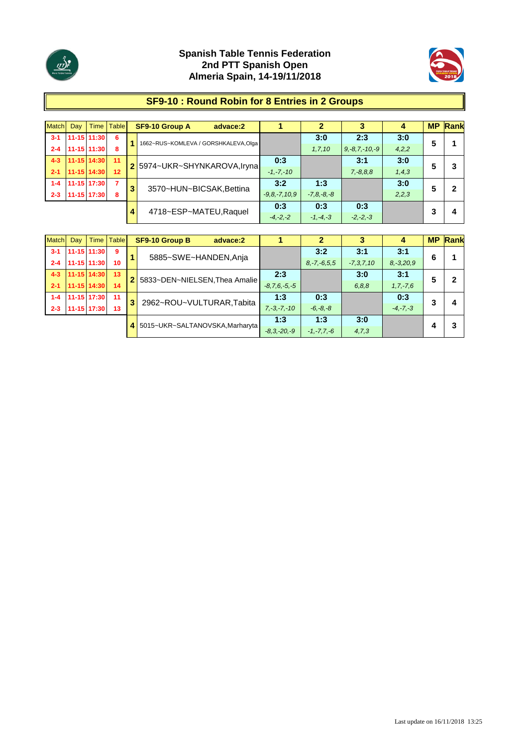



### **SF9-10 : Round Robin for 8 Entries in 2 Groups**

| Match   | Dav           | Time        | <b>Table</b>   |   | <b>SF9-10 Group A</b><br>advace:2    |                    |                 |                     | 4       |   | <b>MP</b> Rank |
|---------|---------------|-------------|----------------|---|--------------------------------------|--------------------|-----------------|---------------------|---------|---|----------------|
| $3-1$   | $11-15$ 11:30 |             | -6             |   | 1662~RUS~KOMLEVA / GORSHKALEVA, Olga |                    | 3:0             | 2:3                 | 3:0     | 5 |                |
| $2 - 4$ | $11-15$ 11:30 |             | 8              |   |                                      |                    | 1, 7, 10        | $9, -8, 7, -10, -9$ | 4,2,2   |   |                |
| $4 - 3$ | 11-15 14:30   |             | 11             |   |                                      | 0:3                |                 | 3:1                 | 3:0     | 5 |                |
| $2 - 1$ | 11-15 14:30   |             | 12             |   | 2 5974~UKR~SHYNKAROVA, Iryna         | $-1, -7, -10$      |                 | $7, -8, 8, 8$       | 1, 4, 3 |   |                |
| $1 - 4$ | 11-15 17:30   |             | $\overline{7}$ |   |                                      | 3:2                | 1:3             |                     | 3:0     | 5 |                |
| $2 - 3$ |               | 11-15 17:30 | 8              | 3 | 3570~HUN~BICSAK, Bettina             | $-9, 8, -7, 10, 9$ | $-7, 8, -8, -8$ |                     | 2,2,3   |   |                |
|         |               |             |                | 4 |                                      | 0:3                | 0:3             | 0:3                 |         |   |                |
|         |               |             |                |   | 4718~ESP~MATEU, Raquel               | $-4, -2, -2$       | $-1, -4, -3$    | $-2, -2, -3$        |         |   | 4              |

| <b>Match</b> | Day |             | Time   Table |                | <b>SF9-10 Group B</b><br>advace:2 |                    |                   |                | 4              |   | <b>MP Rank</b> |
|--------------|-----|-------------|--------------|----------------|-----------------------------------|--------------------|-------------------|----------------|----------------|---|----------------|
| $3 - 1$      |     | 11-15 11:30 | 9            |                | 5885~SWE~HANDEN, Anja             |                    | 3:2               | 3:1            | 3:1            | 6 |                |
| $2 - 4$      |     | 11-15 11:30 | 10           |                |                                   |                    | $8, -7, -6, 5, 5$ | $-7, 3, 7, 10$ | $8, -3, 20, 9$ |   |                |
| $4 - 3$      |     | 11-15 14:30 | 13           | $\overline{2}$ | 5833~DEN~NIELSEN, Thea Amalie     | 2:3                |                   | 3:0            | 3:1            | 5 |                |
| $2 - 1$      |     | 11-15 14:30 | 14           |                |                                   | $-8, 7, 6, -5, -5$ |                   | 6, 8, 8        | $1, 7, -7, 6$  |   |                |
| $1 - 4$      |     | 11-15 17:30 | 11           | 3              | 2962~ROU~VULTURAR, Tabita         | 1:3                | 0:3               |                | 0:3            | 3 | 4              |
| $2 - 3$      |     | 11-15 17:30 | 13           |                |                                   | $7, -3, -7, -10$   | $-6, -8, -8$      |                | $-4, -7, -3$   |   |                |
|              |     |             |              | 4              | 5015~UKR~SALTANOVSKA, Marharyta   | 1:3                | 1:3               | 3:0            |                |   |                |
|              |     |             |              |                |                                   | $-8.3 - 20 - 9$    | $-1, -7, 7, -6$   | 4,7,3          |                |   |                |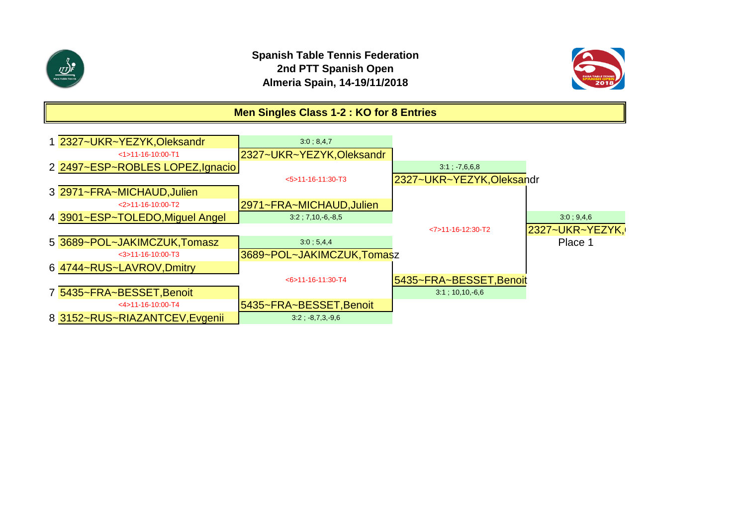



# **Men Singles Class 1-2 : KO for 8 Entries**

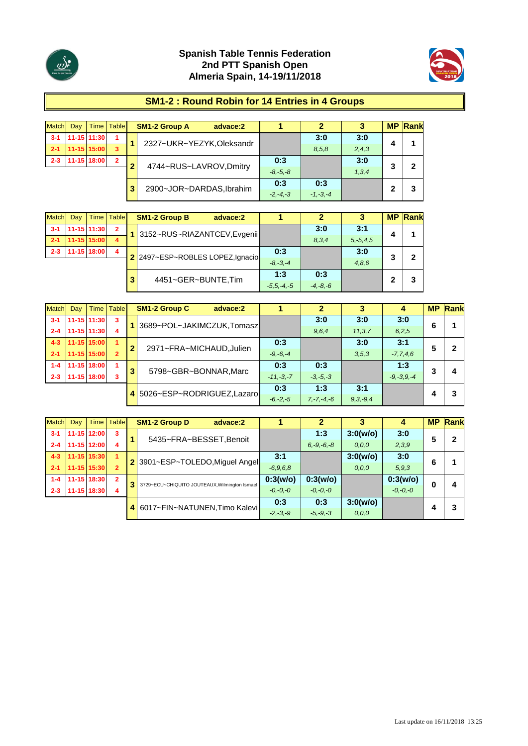



### **SM1-2 : Round Robin for 14 Entries in 4 Groups**

| <b>Match</b> | Dav | <b>Time</b>   | <b>Table</b>   |   | <b>SM1-2 Group A</b><br>advace:2 |              |              | 3     | <b>MP</b> | Rank |
|--------------|-----|---------------|----------------|---|----------------------------------|--------------|--------------|-------|-----------|------|
| $3 - 1$      |     | $11-15$ 11:30 | 1              |   | 2327~UKR~YEZYK, Oleksandr        |              | 3:0          | 3:0   | 4         |      |
| $-2-1$       |     | 11-15 15:00   | 3              |   |                                  |              | 8,5,8        | 2,4,3 |           |      |
| $2 - 3$      |     | 11-15 18:00   | $\overline{2}$ | m | 4744~RUS~LAVROV,Dmitry           | 0:3          |              | 3:0   | 3         | 2    |
|              |     |               |                |   |                                  | $-8. -5. -8$ |              | 1,3,4 |           |      |
|              |     |               |                | 3 |                                  | 0:3          | 0:3          |       | 2         |      |
|              |     |               |                |   | 2900~JOR~DARDAS, Ibrahim         | $-2, -4, -3$ | $-1, -3, -4$ |       |           | 3    |

| <b>Match</b> | Dav | <b>Time</b> | <b>Table</b>            |   | <b>SM1-2 Group B</b>             | advace:2 |                |              |               |   | <b>MP Rank</b> |
|--------------|-----|-------------|-------------------------|---|----------------------------------|----------|----------------|--------------|---------------|---|----------------|
| $3 - 1$      |     | 11-15 11:30 | $\mathbf{2}$            |   | 1 3152~RUS~RIAZANTCEV, Evgenii   |          |                | 3:0          | 3:1           | 4 |                |
| $2 - 1$      |     | 11-15 15:00 | 4                       |   |                                  |          |                | 8,3,4        | $5, -5, 4, 5$ |   |                |
| $2 - 3$      |     | 11-15 18:00 | $\overline{\mathbf{4}}$ |   | 2 2497~ESP~ROBLES LOPEZ, Ignacio |          | 0:3            |              | 3:0           |   |                |
|              |     |             |                         |   |                                  |          | $-8. -3. -4$   |              | 4,8,6         |   |                |
|              |     |             |                         | 3 | 4451~GER~BUNTE,Tim               |          | 1:3            | 0:3          |               |   |                |
|              |     |             |                         |   |                                  |          | $-5.5 - 4 - 5$ | $-4, -8, -6$ |               |   |                |

| <b>Match</b> | Day ' | Time I      | <b>Table</b>   |   | <b>SM1-2 Group C</b><br>advace:2 |              | 2               | 3             | 4               | <b>MP</b> | Rank |
|--------------|-------|-------------|----------------|---|----------------------------------|--------------|-----------------|---------------|-----------------|-----------|------|
| $3 - 1$      |       | 11-15 11:30 | 3              |   | 3689~POL~JAKIMCZUK,Tomasz        |              | 3:0             | 3:0           | 3:0             | 6         |      |
| $2 - 4$      |       | 11-15 11:30 | 4              |   |                                  |              | 9,6,4           | 11, 3, 7      | 6,2,5           |           |      |
| $4 - 3$      |       | 11-15 15:00 | 1              | 2 | 2971~FRA~MICHAUD, Julien         | 0:3          |                 | 3:0           | 3:1             | 5         | 2    |
| $2 - 1$      |       | 11-15 15:00 | $\overline{2}$ |   |                                  | $-9, -6, -4$ |                 | 3,5,3         | $-7,7,4,6$      |           |      |
| $1 - 4$      |       | 11-15 18:00 |                | 3 | 5798~GBR~BONNAR, Marc            | 0:3          | 0:3             |               | 1:3             | 3         |      |
| $2 - 3$      |       | 11-15 18:00 | 3              |   |                                  | $-11,-3,-7$  | $-3, -5, -3$    |               | $-9, -3, 9, -4$ |           | 4    |
|              |       |             |                |   | 4 5026~ESP~RODRIGUEZ, Lazaro     | 0:3          | 1:3             | 3:1           |                 |           | 3    |
|              |       |             |                |   |                                  | $-6, -2, -5$ | $7, -7, -4, -6$ | $9, 3, -9, 4$ |                 |           |      |

| Match   | Day | <b>Time</b>     | <b>Table</b>   |   | <b>SM1-2 Group D</b><br>advace:2              |              |                 | 3        | 4            |   | <b>MP Rank</b> |
|---------|-----|-----------------|----------------|---|-----------------------------------------------|--------------|-----------------|----------|--------------|---|----------------|
| $3 - 1$ |     | 11-15 12:00     | 3              |   | 5435~FRA~BESSET, Benoit                       |              | 1:3             | 3:0(w/o) | 3:0          | 5 | 2              |
| $2 - 4$ |     | 11-15 12:00     | 4              |   |                                               |              | $6, -9, -6, -8$ | 0, 0, 0  | 2,3,9        |   |                |
| $4 - 3$ |     | $11 - 15$ 15:30 | 1              |   | 2 3901~ESP~TOLEDO, Miguel Angel               | 3:1          |                 | 3:0(w/o) | 3:0          | 6 |                |
| $2 - 1$ |     | $11 - 15$ 15:30 | $\overline{2}$ |   |                                               | $-6,9,6,8$   |                 | 0, 0, 0  | 5, 9, 3      |   |                |
| $1 - 4$ |     | 11-15 18:30     | $\overline{2}$ | 3 | 3729~ECU~CHIQUITO JOUTEAUX, Wilmington Ismael | 0:3(w/o)     | 0:3(w/o)        |          | 0:3(w/o)     | 0 | д              |
| $2 - 3$ |     | 11-15 18:30     | 4              |   |                                               | $-0, -0, -0$ | $-0, -0, -0$    |          | $-0, -0, -0$ |   |                |
|         |     |                 |                | 4 | 6017~FIN~NATUNEN, Timo Kalevi                 | 0:3          | 0:3             | 3:0(w/o) |              |   |                |
|         |     |                 |                |   |                                               | $-2, -3, -9$ | $-5, -9, -3$    | 0, 0, 0  |              |   |                |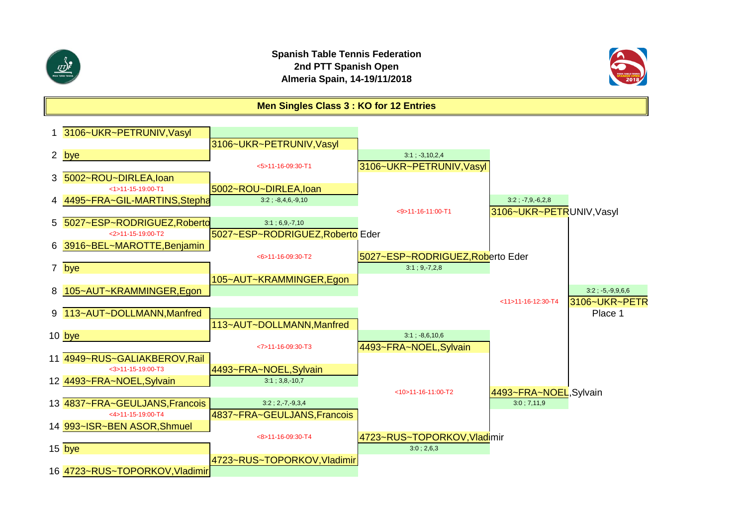

### **Spanish Table Tennis Federation 2nd PTT Spanish Open Almeria Spain, 14-19/11/2018**



**Men Singles Class 3 : KO for 12 Entries**

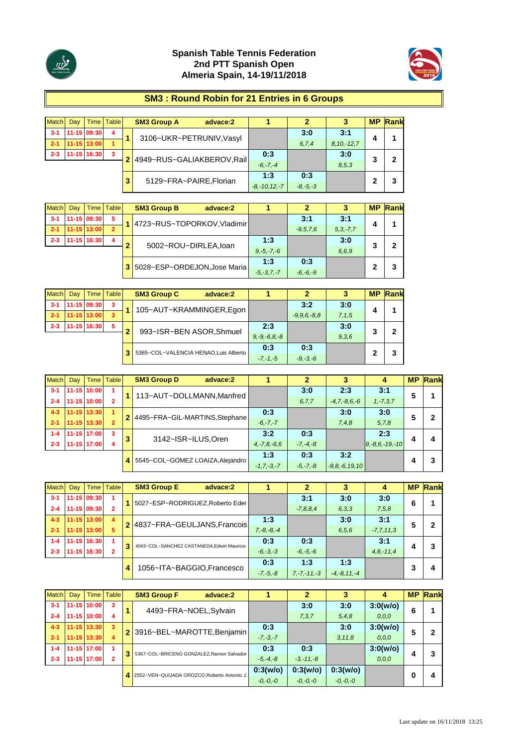



#### **SM3 : Round Robin for 21 Entries in 6 Groups**

| Match   | Day | Time I      | <b>Table</b> |   | <b>SM3 Group A</b><br>advace:2 |                   |              | 3               | <b>MP</b> | Rank |
|---------|-----|-------------|--------------|---|--------------------------------|-------------------|--------------|-----------------|-----------|------|
| $3 - 1$ |     | 11-15 09:30 | 4            |   | 3106~UKR~PETRUNIV, Vasyl       |                   | 3:0          | 3:1             |           |      |
| $2 - 1$ |     | 11-15 13:00 | 1            |   |                                |                   | 6, 7, 4      | $8, 10, -12, 7$ |           |      |
| $2 - 3$ |     | 11-15 16:30 | 3            |   | 4949~RUS~GALIAKBEROV,Rail      | 0:3               |              | 3:0             | 3         | 2    |
|         |     |             |              |   |                                | $-6, -7, -4$      |              | 8,5,3           |           |      |
|         |     |             |              | 3 | 5129~FRA~PAIRE, Florian        | 1:3               | 0:3          |                 |           | 3    |
|         |     |             |              |   |                                | $-8, -10, 12, -7$ | $-8, -5, -3$ |                 |           |      |

| Match   | Dav | <b>Time</b> | Table          |   | <b>SM3 Group B</b><br>advace:2 |                 | 2            | 3             |   | <b>MP Rank</b> |
|---------|-----|-------------|----------------|---|--------------------------------|-----------------|--------------|---------------|---|----------------|
| $3 - 1$ |     | 11-15 09:30 | 5              |   | 4723~RUS~TOPORKOV, Vladimir    |                 | 3:1          | 3:1           | 4 |                |
| $-2-1$  |     | 11-15 13:00 | $\overline{2}$ |   |                                |                 | $-9.5, 7.6$  | $5, 3, -7, 7$ |   |                |
| $2 - 3$ |     | 11-15 16:30 | 4              | ◠ | 5002~ROU~DIRLEA, loan          | 1:3             |              | 3:0           |   | 2              |
|         |     |             |                |   |                                | $9, -5, -7, -6$ |              | 6.6.9         |   |                |
|         |     |             |                |   | 5028~ESP~ORDEJON, Jose Maria   | 1:3             | 0:3          |               |   |                |
|         |     |             |                |   |                                | $-5, -3, 7, -7$ | $-6, -6, -9$ |               | 2 | 3              |

| <b>Match</b> | Dav | Time        | <b>Table</b> |                                       | <b>SM3 Group C</b> | advace:2                 |                    |                |         |   | <b>MP Rank</b> |
|--------------|-----|-------------|--------------|---------------------------------------|--------------------|--------------------------|--------------------|----------------|---------|---|----------------|
| $3 - 1$      |     | 11-15 09:30 | 3            |                                       |                    | 105~AUT~KRAMMINGER,Egon  |                    | 3:2            | 3:0     |   |                |
| $2 - 1$      |     | 11-15 13:00 | 3            |                                       |                    |                          |                    | $-9.9.6 - 8.8$ | 7, 1, 5 |   |                |
| $2 - 3$      |     | 11-15 16:30 | 5            | ≘                                     |                    | 993~ISR~BEN ASOR, Shmuel | 2:3                |                | 3:0     | 3 | 2              |
|              |     |             |              |                                       |                    |                          | $9, -9, -6, 8, -8$ |                | 9,3,6   |   |                |
|              |     |             |              |                                       |                    |                          | 0:3                | 0:3            |         | 2 |                |
|              |     |             |              | 5365~COL~VALENCIA HENAO, Luis Alberto | $-7, -1, -5$       | $-9, -3, -6$             |                    |                | 3       |   |                |

| Match   | Dav | Time I      | <b>Table</b>   |   | <b>SM3 Group D</b><br>advace:2   |                   |              |                     | 4                    | <b>MP</b> | Rank |
|---------|-----|-------------|----------------|---|----------------------------------|-------------------|--------------|---------------------|----------------------|-----------|------|
| $3 - 1$ |     | 11-15 10:00 |                |   | 113~AUT~DOLLMANN, Manfred        |                   | 3:0          | 2:3                 | 3:1                  | 5         |      |
| $2 - 4$ |     | 11-15 10:00 |                |   |                                  |                   | 6.7.7        | $-4, 7, -8, 6, -6$  | $1, -7, 3, 7$        |           |      |
| $4 - 3$ |     | 11-15 13:30 |                |   | 2 4495~FRA~GIL-MARTINS, Stephane | 0:3               |              | 3:0                 | 3:0                  |           |      |
| $2 - 1$ |     | 11-15 13:30 | $\overline{2}$ |   |                                  | $-6, -7, -7$      |              | 7,4,8               | 5,7,8                |           |      |
| $1 - 4$ |     | 11-15 17:00 | 3              | 3 | 3142~ISR~ILUS, Oren              | 3:2               | 0:3          |                     | 2:3                  |           |      |
| $2 - 3$ |     | 11-15 17:00 | 4              |   |                                  | $4, -7, 8, -6, 6$ | $-7, -4, -8$ |                     | $9, -8, 6, -19, -10$ |           | 4    |
|         |     |             |                | 4 | 5545~COL~GOMEZ LOAIZA, Alejandro | 1:3               | 0:3          | 3:2                 |                      |           |      |
|         |     |             |                |   |                                  | $-1, 7, -3, -7$   | $-5, -7, -8$ | $-9, 8, -6, 19, 10$ |                      |           |      |

| Match   | Day |             | Time   Table   | <b>SM3 Group E</b><br>advace:2            |                 |                  |                  | 4              | <b>MP</b> | Rank |
|---------|-----|-------------|----------------|-------------------------------------------|-----------------|------------------|------------------|----------------|-----------|------|
| $3 - 1$ |     | 11-15 09:30 | 1.             | 5027~ESP~RODRIGUEZ, Roberto Eder          |                 | 3:1              | 3:0              | 3:0            | 6         |      |
| $2 - 4$ |     | 11-15 09:30 | 2              |                                           |                 | $-7,8,8,4$       | 6, 3, 3          | 7,5,8          |           |      |
| $4 - 3$ |     | 11-15 13:00 | $\overline{4}$ | 2 4837~FRA~GEULJANS, Francois             | 1:3             |                  | 3:0              | 3:1            | 5         | 2    |
| $2 - 1$ |     | 11-15 13:00 | 5.             |                                           | $7, -8, -8, -4$ |                  | 6, 5, 6          | $-7, 7, 11, 3$ |           |      |
| $1 - 4$ |     | 11-15 16:30 | 1              | 4043~COL~SANCHEZ CASTANEDA.Edwin Mauricio | 0:3             | 0:3              |                  | 3:1            |           | 3    |
| $2 - 3$ |     | 11-15 16:30 | 2              |                                           | $-6, -3, -3$    | $-6, -5, -6$     |                  | $4,8,-11,4$    | 4         |      |
|         |     |             |                | 1056~ITA~BAGGIO.Francesco                 | 0:3             | 1:3              | 1:3              |                | າ         | 4    |
|         |     |             |                |                                           | $-7, -5, -8$    | $7, -7, -11, -3$ | $-4, -8, 11, -4$ |                |           |      |

| <b>Match</b> | Day | Time I      | <b>Table</b> | <b>SM3 Group F</b><br>advace:2               |              | 2             | 3            | 4        |   | <b>MP</b> Rank |
|--------------|-----|-------------|--------------|----------------------------------------------|--------------|---------------|--------------|----------|---|----------------|
| $3 - 1$      |     | 11-15 10:00 | 3            | 4493~FRA~NOEL, Sylvain                       |              | 3:0           | 3:0          | 3:0(w/o) | 6 |                |
| $2 - 4$      |     | 11-15 10:00 | 4            |                                              |              | 7,3,7         | 5,4,8        | 0, 0, 0  |   |                |
| $4 - 3$      |     | 11-15 13:30 | $\mathbf{3}$ | 3916~BEL~MAROTTE, Benjamin                   | 0:3          |               | 3:0          | 3:0(w/o) | 5 |                |
| $2 - 1$      |     | 11-15 13:30 | 4            |                                              | $-7, -3, -7$ |               | 3, 11.8      | 0, 0, 0  |   |                |
| $1 - 4$      |     | 11-15 17:00 |              | 5367~COL~BRICENO GONZALEZ.Ramon Salvador     | 0:3          | 0:3           |              | 3:0(w/o) |   |                |
| $2 - 3$      |     | 1-15 17:00  | 2            |                                              | $-5, -4, -8$ | $-3, -11, -8$ |              | 0, 0, 0  |   |                |
|              |     |             |              | 4 2552~VEN~QUIJADA OROZCO.Roberto Antonio J. | 0:3(w/o)     | 0:3(w/o)      | 0:3(w/o)     |          | 0 |                |
|              |     |             |              |                                              | $-0, -0, -0$ | $-0. -0. -0$  | $-0, -0, -0$ |          |   | 4              |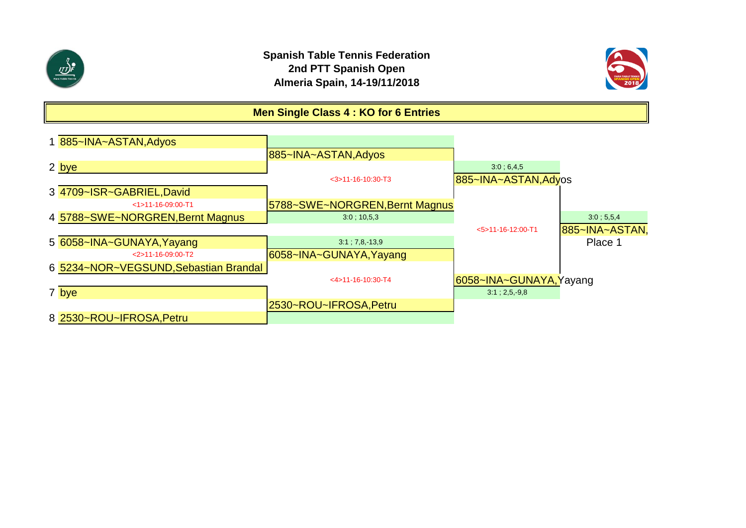



## **Men Single Class 4 : KO for 6 Entries**

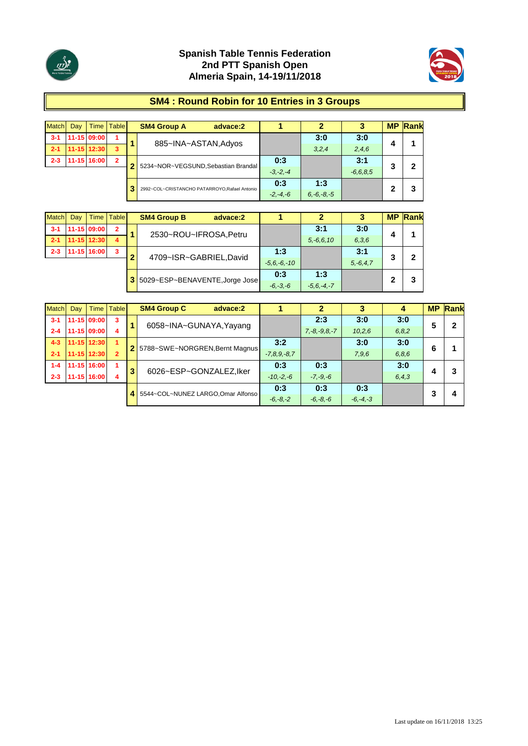



#### **SM4 : Round Robin for 10 Entries in 3 Groups**

| <b>Match</b> | Dav | <b>Time</b> | <b>Table</b>   |                                              | <b>SM4 Group A</b>                  | advace:2        |              | 2     | 3             | <b>MP</b> | Rank |
|--------------|-----|-------------|----------------|----------------------------------------------|-------------------------------------|-----------------|--------------|-------|---------------|-----------|------|
| $3 - 1$      |     | 11-15 09:00 | 4              |                                              | 885~INA~ASTAN, Adyos                |                 |              | 3:0   | 3:0           |           |      |
| $-2-1$       |     | 11-15 12:30 | 3              |                                              |                                     |                 |              | 3,2,4 | 2,4,6         | 4         |      |
| $2 - 3$      |     | 11-15 16:00 | $\overline{2}$ | n                                            | 5234~NOR~VEGSUND, Sebastian Brandal |                 | 0:3          |       | 3:1           | 3         | 2    |
|              |     |             |                |                                              |                                     |                 | $-3. -2. -4$ |       | $-6, 6, 8, 5$ |           |      |
|              |     |             |                |                                              |                                     |                 | 0:3          | 1:3   |               |           |      |
|              |     |             |                | 2992~COL~CRISTANCHO PATARROYO.Rafael Antonio | $-2, -4, -6$                        | $6, -6, -8, -5$ |              | 2     | 3             |           |      |

| <b>Match</b> | Dav | <b>Time</b> | <b>Table</b>   |                | <b>SM4 Group B</b><br>advace:2 |                 |                |            | <b>MP</b> | Rank |
|--------------|-----|-------------|----------------|----------------|--------------------------------|-----------------|----------------|------------|-----------|------|
| $3 - 1$      |     | 11-15 09:00 | $\overline{2}$ |                | 2530~ROU~IFROSA, Petru         |                 | 3:1            | 3:0        |           |      |
| $2 - 1$      |     | 11-15 12:30 | 4              |                |                                |                 | $5, -6, 6, 10$ | 6,3,6      | 4         |      |
| $2 - 3$      |     | 11-15 16:00 | 3              | -              | 4709~ISR~GABRIEL,David         | 1:3             |                | 3:1        | 2         |      |
|              |     |             |                |                |                                | $-5.6 - 6 - 10$ |                | $5.-6.4.7$ |           |      |
|              |     |             |                | 3 <sup>1</sup> | 5029~ESP~BENAVENTE, Jorge Jose | 0:3             | 1:3            |            |           |      |
|              |     |             |                |                |                                | $-6, -3, -6$    | $-5.6 - 4 - 7$ |            |           |      |

| <b>Match</b> | Dav | Time I      | <b>Table</b>         |   | <b>SM4 Group C</b>                 | advace:2 |                   |                    |              |         | <b>MP</b> | Rank |
|--------------|-----|-------------|----------------------|---|------------------------------------|----------|-------------------|--------------------|--------------|---------|-----------|------|
| $3 - 1$      |     | 11-15 09:00 | 3                    |   | 6058~INA~GUNAYA, Yayang            |          |                   | 2:3                | 3:0          | 3:0     | 5         | 2    |
| $2 - 4$      |     | 11-15 09:00 | 4                    |   |                                    |          |                   | $7, -8, -9, 8, -7$ | 10,2,6       | 6, 8, 2 |           |      |
| $4 - 3$      |     | 11-15 12:30 | $\blacktriangleleft$ |   | 2 5788~SWE~NORGREN, Bernt Magnus   |          | 3:2               |                    | 3:0          | 3:0     | 6         |      |
| $2 - 1$      |     | 11-15 12:30 | $\overline{2}$       |   |                                    |          | $-7, 8, 9, -8, 7$ |                    | 7,9,6        | 6,8,6   |           |      |
| $1 - 4$      |     | 11-15 16:00 |                      | 3 |                                    |          | 0:3               | 0:3                |              | 3:0     |           | 3    |
| $2 - 3$      |     | 11-15 16:00 | 4                    |   | 6026~ESP~GONZALEZ, Iker            |          | $-10,-2,-6$       | $-7, -9, -6$       |              | 6, 4, 3 | 4         |      |
|              |     |             |                      |   | 5544~COL~NUNEZ LARGO, Omar Alfonso | 0:3      | 0:3               | 0:3                |              | 3       | 4         |      |
|              |     |             |                      |   |                                    |          | $-6, -8, -2$      | $-6, -8, -6$       | $-6, -4, -3$ |         |           |      |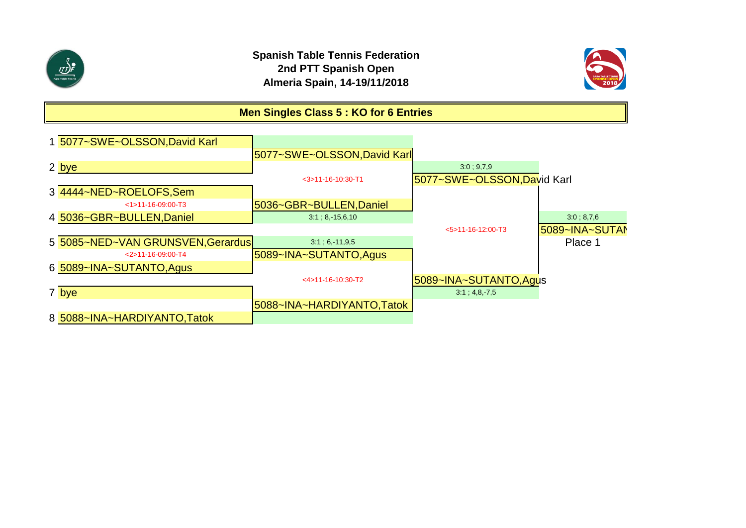



# **Men Singles Class 5 : KO for 6 Entries**

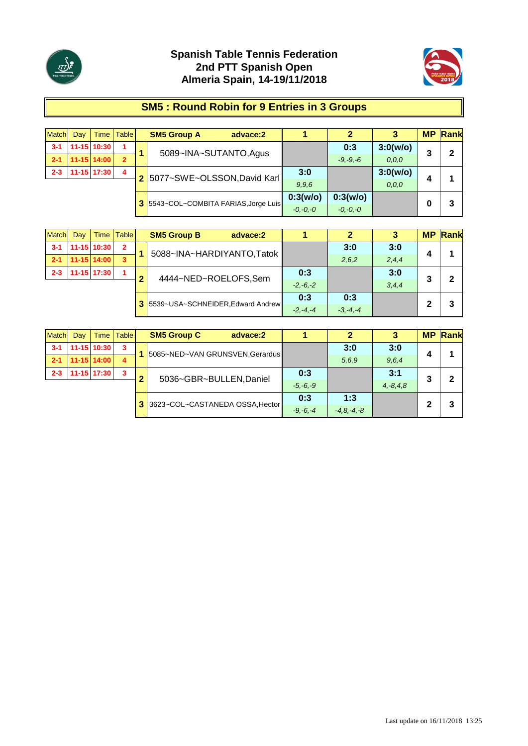



# **SM5 : Round Robin for 9 Entries in 3 Groups**

| <b>Match</b> | Day | <b>Time</b>     | <b>Table</b>   |                | <b>SM5 Group A</b><br>advace:2        |              | 2            |          | <b>MP</b> | Rank |
|--------------|-----|-----------------|----------------|----------------|---------------------------------------|--------------|--------------|----------|-----------|------|
| $3 - 1$      |     | 11-15 10:30     |                |                | 5089~INA~SUTANTO, Agus                |              | 0:3          | 3:0(w/o) | 3         | 2    |
| $2 - 1$      |     | 11-15 14:00     | $\overline{2}$ |                |                                       |              | $-9, -9, -6$ | 0, 0, 0  |           |      |
| $2 - 3$      |     | $11 - 15$ 17:30 | 4              | 2 <sup>1</sup> | 5077~SWE~OLSSON, David Karl           | 3:0          |              | 3:0(w/o) |           |      |
|              |     |                 |                |                |                                       | 9,9,6        |              | 0, 0, 0  | 4         |      |
|              |     |                 |                |                |                                       | 0:3(w/o)     | 0:3(w/o)     |          |           |      |
|              |     |                 |                |                | 3 5543~COL~COMBITA FARIAS, Jorge Luis | $-0, -0, -0$ | $-0, -0, -0$ |          | 0         | 3    |

| <b>Match</b> | Day | <b>Time</b> | <b>Table</b>   |                                     | <b>SM5 Group B</b><br>advace:2 |              | 2     | 3       | <b>MP</b> | $\sqrt{Rank}$ |
|--------------|-----|-------------|----------------|-------------------------------------|--------------------------------|--------------|-------|---------|-----------|---------------|
| $3 - 1$      |     | 11-15 10:30 | $\overline{2}$ |                                     | 5088~INA~HARDIYANTO,Tatok      |              | 3:0   | 3:0     | 4         |               |
| $2 - 1$      |     | 11-15 14:00 | $\mathbf{3}$   |                                     |                                |              | 2,6,2 | 2,4,4   |           |               |
| $2 - 3$      |     | 11-15 17:30 | 1              |                                     | 4444~NED~ROELOFS,Sem           | 0:3          |       | 3:0     | 3         | 2             |
|              |     |             |                |                                     |                                | $-2, -6, -2$ |       | 3, 4, 4 |           |               |
|              |     |             |                |                                     |                                | 0:3          | 0:3   |         |           |               |
|              |     |             |                | 3 5539~USA~SCHNEIDER, Edward Andrew | $-2. -4. -4$                   | $-3, -4, -4$ |       | 2       | 3         |               |

| <b>Match</b> | Day | Time        | <b>Table</b>            |                                      | <b>SM5 Group C</b><br>advace:2  |                 | 2     |               |   | <b>MP Rank</b> |
|--------------|-----|-------------|-------------------------|--------------------------------------|---------------------------------|-----------------|-------|---------------|---|----------------|
| $3 - 1$      |     | 11-15 10:30 | $\mathbf{3}$            |                                      | 5085~NED~VAN GRUNSVEN, Gerardus |                 | 3:0   | 3:0           |   |                |
| $2 - 1$      |     | 11-15 14:00 | 4                       |                                      |                                 |                 | 5.6.9 | 9,6,4         | 4 |                |
| $2 - 3$      |     | 11-15 17:30 | $\overline{\mathbf{3}}$ | ◠                                    | 5036~GBR~BULLEN, Daniel         | 0:3             |       | 3:1           | 3 | 2              |
|              |     |             |                         |                                      |                                 | $-5, -6, -9$    |       | $4, -8, 4, 8$ |   |                |
|              |     |             |                         |                                      |                                 | 0:3             | 1:3   |               | 2 | 3              |
|              |     |             |                         | 3<br>3623~COL~CASTANEDA OSSA, Hector | $-9, -6, -4$                    | $-4, 8, -4, -8$ |       |               |   |                |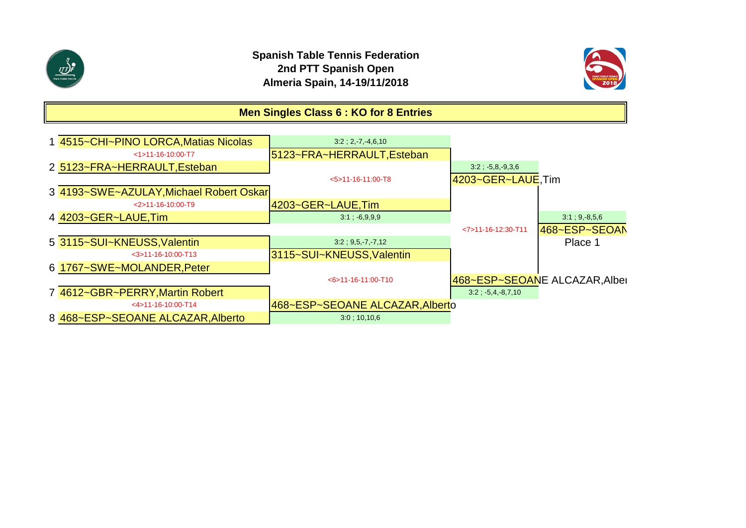



# **Men Singles Class 6 : KO for 8 Entries**

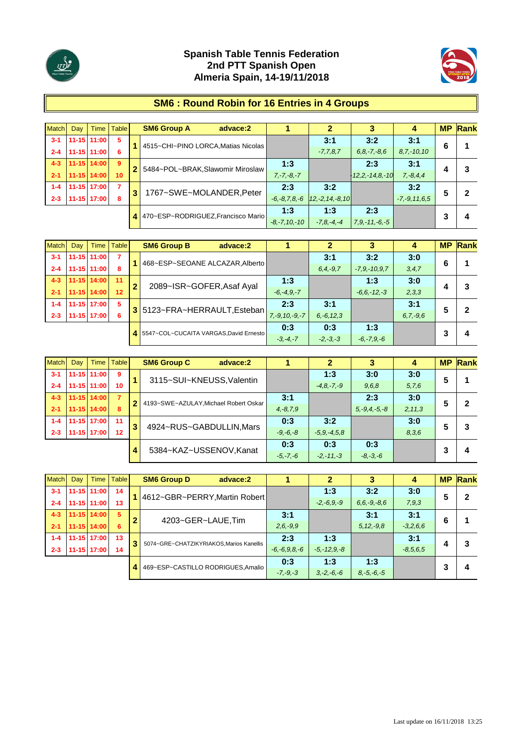



### **SM6 : Round Robin for 16 Entries in 4 Groups**

| Match   | Dav | Time I          | <b>Table</b>    |   | <b>SM6 Group A</b><br>advace:2      |                    |                    |                       | 4                  | <b>MP</b> | Rank |
|---------|-----|-----------------|-----------------|---|-------------------------------------|--------------------|--------------------|-----------------------|--------------------|-----------|------|
| $3 - 1$ |     | $11 - 15$ 11:00 | -5              |   | 4515~CHI~PINO LORCA, Matias Nicolas |                    | 3:1                | 3:2                   | 3:1                | 6         |      |
| $2 - 4$ |     | 11-15 11:00     | 6               |   |                                     |                    | $-7,7,8,7$         | $6, 8, -7, -8, 6$     | $8,7,-10,10$       |           |      |
| $4 - 3$ |     | $11 - 15$ 14:00 | -9              |   |                                     | 1:3                |                    | 2:3                   | 3:1                |           |      |
| $-2-1$  |     | 11-15 14:00     | 10 <sup>1</sup> |   | 5484~POL~BRAK, Slawomir Miroslaw    | $7, -7, -8, -7$    |                    | $-12, 2, -14, 8, -10$ | $7, -8, 4, 4$      | 4         | 3    |
| $1 - 4$ |     | 11-15 17:00     | 7               |   |                                     | 2:3                | 3:2                |                       | 3:2                |           | 2    |
| $2 - 3$ |     | 11-15 17:00     | 8               | 3 | 1767~SWE~MOLANDER, Peter            | $-6, -8, 7, 8, -6$ | $ 12,-2,14,-8,10 $ |                       | $-7, -9, 11, 6, 5$ | 5         |      |
|         |     |                 |                 | 4 | 470~ESP~RODRIGUEZ, Francisco Mario  | 1:3                | 1:3                | 2:3                   |                    |           |      |
|         |     |                 |                 |   |                                     | $-8, -7, 10, -10$  | $-7, 8, -4, -4$    | $7, 9, -11, -6, -5$   |                    |           | 4    |

| <b>Match</b> | Dav | Time            | <b>Table</b>    |                | <b>SM6 Group B</b><br>advace:2         |                     |                |                 |               | <b>MP</b> | Rank |
|--------------|-----|-----------------|-----------------|----------------|----------------------------------------|---------------------|----------------|-----------------|---------------|-----------|------|
| $3 - 1$      |     | 11-15 11:00     |                 |                | 468~ESP~SEOANE ALCAZAR, Alberto        |                     | 3:1            | 3:2             | 3:0           | 6         |      |
| $2 - 4$      |     | 11-15 11:00     | 8               |                |                                        |                     | $6.4 - 9.7$    | $-7.9 - 10.97$  | 3, 4, 7       |           |      |
| $4 - 3$      |     | 11-15 14:00     | 11              | $\overline{2}$ | 2089~ISR~GOFER, Asaf Ayal              | 1:3                 |                | 1:3             | 3:0           |           | 3    |
| $2 - 1$      |     | 11-15 14:00     | 12 <sup>°</sup> |                |                                        | $-6, -4, 9, -7$     |                | $-6.6 - 12 - 3$ | 2,3,3         |           |      |
| $1 - 4$      |     | $11 - 15$ 17:00 | 5               |                | 3 5123~FRA~HERRAULT, Esteban           | 2:3                 | 3:1            |                 | 3:1           | 5         | 2    |
| $2 - 3$      |     | 11-15 17:00     | 6               |                |                                        | $7, -9, 10, -9, -7$ | $6, -6, 12, 3$ |                 | $6, 7, -9, 6$ |           |      |
|              |     |                 |                 | 4              | 5547~COL~CUCAITA VARGAS, David Ernesto | 0:3                 | 0:3            | 1:3             |               |           |      |
|              |     |                 |                 |                |                                        | $-3, -4, -7$        | $-2, -3, -3$   | $-6, -7, 9, -6$ |               |           | 4    |

| <b>Match</b> | Day | Time I      | Table          |   | <b>SM6 Group C</b><br>advace:2        |               |                |                    | 4        | <b>MP</b> | Rank |
|--------------|-----|-------------|----------------|---|---------------------------------------|---------------|----------------|--------------------|----------|-----------|------|
| $3 - 1$      |     | 11-15 11:00 | -9             |   | 3115~SUI~KNEUSS, Valentin             |               | 1:3            | 3:0                | 3:0      | 5         |      |
| $2 - 4$      |     | 11-15 11:00 | 10             |   |                                       |               | $-4.8 - 7 - 9$ | 9,6,8              | 5,7,6    |           |      |
| $4 - 3$      |     | 11-15 14:00 | $\overline{7}$ | 2 | 4193~SWE~AZULAY, Michael Robert Oskar | 3:1           |                | 2:3                | 3:0      | 5         | 2    |
| $2 - 1$      |     | 11-15 14:00 | 8              |   |                                       | $4, -8, 7, 9$ |                | $5, -9, 4, -5, -8$ | 2, 11, 3 |           |      |
| $1 - 4$      |     | 11-15 17:00 | 11             | 3 |                                       | 0:3           | 3:2            |                    | 3:0      | 5         | 3    |
| $2 - 3$      |     | 11-15 17:00 | 12             |   | 4924~RUS~GABDULLIN, Mars              | $-9, -6, -8$  | $-5.9 - 4.5.8$ |                    | 8,3,6    |           |      |
|              |     |             |                |   | 5384~KAZ~USSENOV.Kanat                | 0:3           | 0:3            | 0:3                |          |           |      |
|              |     |             |                |   |                                       | $-5, -7, -6$  | $-2, -11, -3$  | $-8, -3, -6$       |          |           | 4    |

| Match   | Dav | Time I      | <b>Table</b> |   | <b>SM6 Group D</b><br>advace:2          |                    |                 |                 | 4             | <b>MP</b> | Rank |
|---------|-----|-------------|--------------|---|-----------------------------------------|--------------------|-----------------|-----------------|---------------|-----------|------|
| $3 - 1$ |     | 11-15 11:00 | 14           |   | 4612~GBR~PERRY, Martin Robert           |                    | 1:3             | 3:2             | 3:0           | 5         | 2    |
| $2 - 4$ |     | 11-15 11:00 | 13           |   |                                         |                    | $-2, -6, 9, -9$ | $6.6, -9, -8.6$ | 7,9,3         |           |      |
| $4 - 3$ |     | 11-15 14:00 | 5            | 2 | 4203~GER~LAUE,Tim                       | 3:1                |                 | 3:1             | 3:1           | 6         |      |
| $2 - 1$ |     | 11-15 14:00 | 6            |   |                                         | $2.6 - 9.9$        |                 | $5, 12, -9.8$   | $-3,2,6,6$    |           |      |
| $1 - 4$ |     | 11-15 17:00 | 13           | 3 | 5074~GRE~CHATZIKYRIAKOS.Marios Kanellis | 2:3                | 1:3             |                 | 3:1           |           | 3    |
| $2 - 3$ |     | 11-15 17:00 | 14           |   |                                         | $-6, -6, 9, 8, -6$ | $-5 - 12.9 - 8$ |                 | $-8, 5, 6, 5$ |           |      |
|         |     |             |              |   | 469~ESP~CASTILLO RODRIGUES, Amalio      | 0:3                | 1:3             | 1:3             |               |           |      |
|         |     |             |              | 4 |                                         | $-7, -9, -3$       | $3, -2, -6, -6$ | $8, -5, -6, -5$ |               |           | 4    |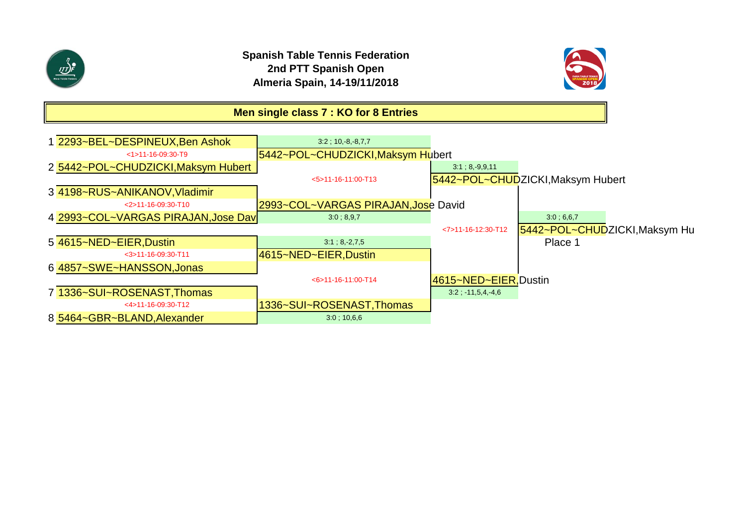



# **Men single class 7 : KO for 8 Entries**

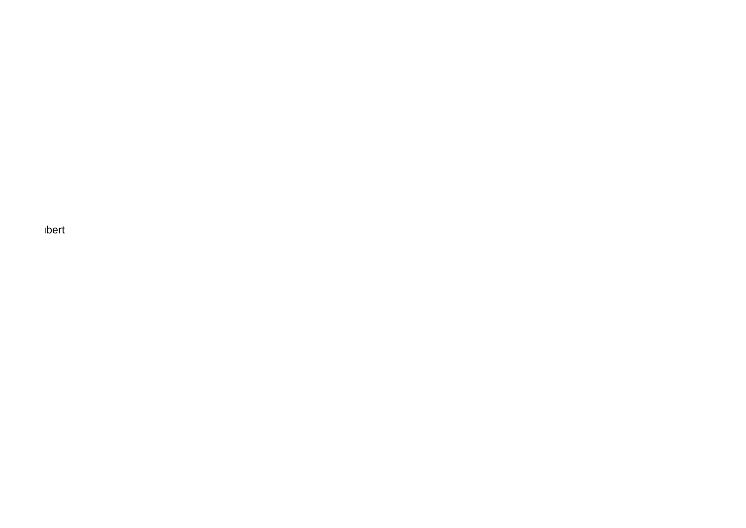bert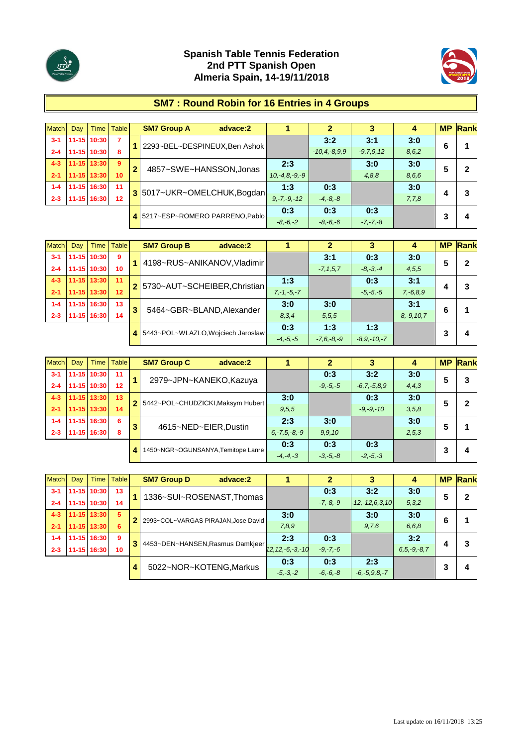



### **SM7 : Round Robin for 16 Entries in 4 Groups**

| Match   | Dav | Time I      | <b>Table</b>    |                | <b>SM7 Group A</b>            | advace:2                |                  |                    |              | 4     | <b>MP</b> | Rank |
|---------|-----|-------------|-----------------|----------------|-------------------------------|-------------------------|------------------|--------------------|--------------|-------|-----------|------|
| $3 - 1$ |     | 11-15 10:30 | 7               |                | 2293~BEL~DESPINEUX, Ben Ashok |                         |                  | 3:2                | 3:1          | 3:0   | 6         |      |
| $2 - 4$ |     | 11-15 10:30 | 8               |                |                               |                         |                  | $-10, 4, -8, 9, 9$ | $-9.7.9.12$  | 8,6,2 |           |      |
| $4 - 3$ |     | 11-15 13:30 | -9              | $\overline{2}$ |                               |                         | 2:3              |                    | 3:0          | 3:0   | 5         | 2    |
| $-2-1$  |     | 11-15 13:30 | 10 <sup>1</sup> |                |                               | 4857~SWE~HANSSON, Jonas | $10,-4,8,-9,-9$  |                    | 4,8,8        | 8.6.6 |           |      |
| $1 - 4$ |     | 11-15 16:30 | 11              |                | 3 5017~UKR~OMELCHUK, Bogdan   |                         | 1:3              | 0:3                |              | 3:0   |           | 3    |
| $2 - 3$ |     | 11-15 16:30 | 12              |                |                               |                         | $9, -7, -9, -12$ | $-4, -8, -8$       |              | 7,7,8 |           |      |
|         |     |             |                 | 4              | 5217~ESP~ROMERO PARRENO.Pablo |                         | 0:3              | 0:3                | 0:3          |       |           |      |
|         |     |             |                 |                |                               |                         | $-8, -6, -2$     | $-8, -6, -6$       | $-7, -7, -8$ |       |           | 4    |

| <b>Match</b> | Day |             | Time   Table |   | <b>SM7 Group B</b><br>advace:2     |                 |                 |                 |                | <b>MP</b> | Rank |
|--------------|-----|-------------|--------------|---|------------------------------------|-----------------|-----------------|-----------------|----------------|-----------|------|
| $3 - 1$      |     | 11-15 10:30 | 9            |   | 4198~RUS~ANIKANOV, Vladimir        |                 | 3:1             | 0:3             | 3:0            | 5         | 2    |
| $2 - 4$      |     | 11-15 10:30 | 10           |   |                                    |                 | $-7, 1, 5, 7$   | $-8, -3, -4$    | 4,5,5          |           |      |
| $4 - 3$      |     | 11-15 13:30 | 11           |   | 2 5730~AUT~SCHEIBER, Christian     | 1:3             |                 | 0:3             | 3:1            |           | 3    |
| $2 - 1$      |     | 11-15 13:30 | 12           |   |                                    | $7, -1, -5, -7$ |                 | $-5, -5, -5$    | $7, -6, 8, 9$  | 4         |      |
| $1 - 4$      |     | 11-15 16:30 | 13           | 3 |                                    | 3:0             | 3:0             |                 | 3:1            | 6         |      |
| $2 - 3$      |     | 11-15 16:30 | 14           |   | 5464~GBR~BLAND, Alexander          | 8.3.4           | 5,5,5           |                 | $8, -9, 10, 7$ |           |      |
|              |     |             |              | 4 | 5443~POL~WLAZLO, Wojciech Jaroslaw | 0:3             | 1:3             | 1:3             |                | 3         |      |
|              |     |             |              |   |                                    | $-4, -5, -5$    | $-7, 6, -8, -9$ | $-8.9 - 10 - 7$ |                |           | 4    |

| <b>Match</b> | Day | Time I      | Table |   | <b>SM7 Group C</b><br>advace:2     |                    |              |                | 4       | <b>MP</b> | Rank |
|--------------|-----|-------------|-------|---|------------------------------------|--------------------|--------------|----------------|---------|-----------|------|
| $3 - 1$      |     | 11-15 10:30 | 11    |   | 2979~JPN~KANEKO, Kazuya            |                    | 0:3          | 3:2            | 3:0     | 5         | 3    |
| $2 - 4$      |     | 11-15 10:30 | 12    |   |                                    |                    | $-9, -5, -5$ | $-6.7, -5.8.9$ | 4, 4, 3 |           |      |
| $4 - 3$      |     | 11-15 13:30 | 13    |   | 5442~POL~CHUDZICKI, Maksym Hubert  | 3:0                |              | 0:3            | 3:0     | 5         | 2    |
| $2 - 1$      |     | 11-15 13:30 | 14    |   |                                    | 9,5,5              |              | $-9. -9. -10$  | 3,5,8   |           |      |
| $1 - 4$      |     | 11-15 16:30 | 6     |   |                                    | 2:3                | 3:0          |                | 3:0     | 5         |      |
| $2 - 3$      |     | 1-15 16:30  | 8     | 3 | 4615~NED~EIER, Dustin              | $6, -7, 5, -8, -9$ | 9,9,10       |                | 2,5,3   |           |      |
|              |     |             |       |   | 1450~NGR~OGUNSANYA, Temitope Lanre | 0:3                | 0:3          | 0:3            |         |           |      |
|              |     |             |       | 4 |                                    | $-4, -4, -3$       | $-3, -5, -8$ | $-2, -5, -3$   |         |           | 4    |

| <b>Match</b> | Dav | Time I      | <b>Table</b> |   | <b>SM7 Group D</b><br>advace:2      |                       |              |                      |                   | <b>MP</b> | Rank |
|--------------|-----|-------------|--------------|---|-------------------------------------|-----------------------|--------------|----------------------|-------------------|-----------|------|
| $3 - 1$      |     | 11-15 10:30 | 13           |   | 1336~SUI~ROSENAST, Thomas           |                       | 0:3          | 3:2                  | 3:0               | 5         | 2    |
| $2 - 4$      |     | 11-15 10:30 | 14           |   |                                     |                       | $-7, -8, -9$ | $-12, -12, 6, 3, 10$ | 5,3,2             |           |      |
| $4 - 3$      |     | 11-15 13:30 | 5            |   |                                     | 3:0                   |              | 3:0                  | 3:0               | 6         |      |
| $2 - 1$      |     | 11-15 13:30 | 6            |   | 2993~COL~VARGAS PIRAJAN, Jose David | 7,8,9                 |              | 9,7,6                | 6.6.8             |           |      |
| $1 - 4$      |     | 11-15 16:30 | 9            | з | 4453~DEN~HANSEN, Rasmus Damkjeer    | 2:3                   | 0:3          |                      | 3:2               |           | 3    |
| $2 - 3$      |     | 11-15 16:30 | 10           |   |                                     | $12, 12, -6, -3, -10$ | $-9, -7, -6$ |                      | $6, 5, -9, -8, 7$ | 4         |      |
|              |     |             |              |   | 5022~NOR~KOTENG, Markus             | 0:3                   | 0:3          | 2:3                  |                   | າ         |      |
|              |     |             |              |   |                                     | $-5, -3, -2$          | $-6, -6, -8$ | $-6, -5, 9, 8, -7$   |                   | د         | 4    |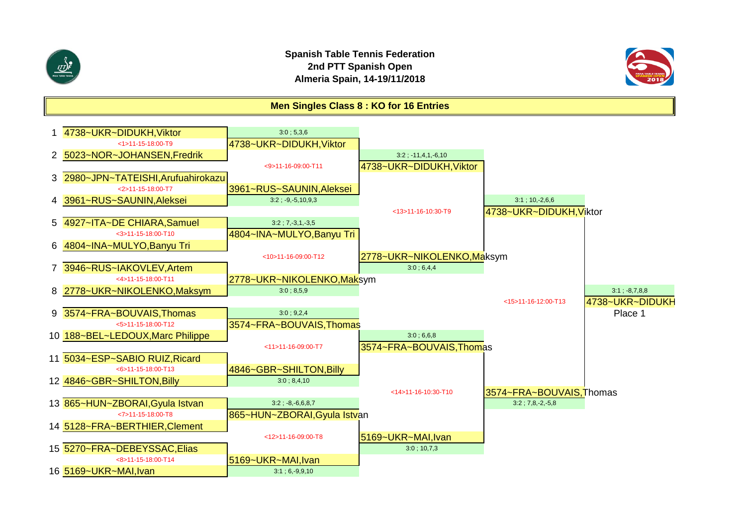



#### **Men Singles Class 8 : KO for 16 Entries**

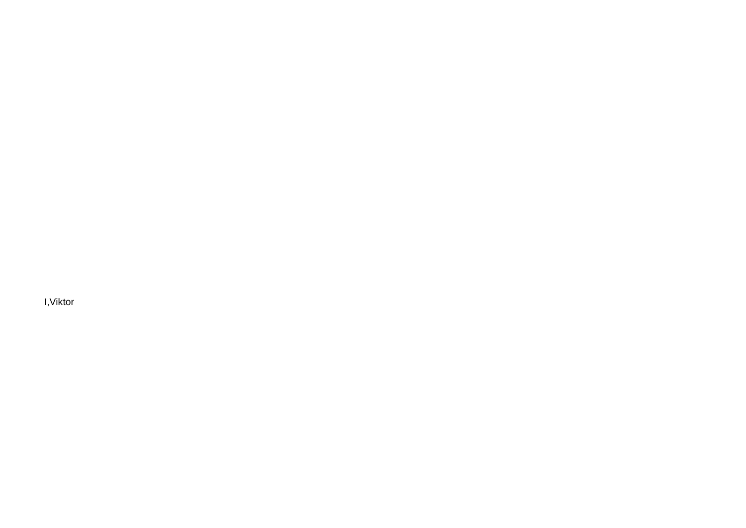l, Viktor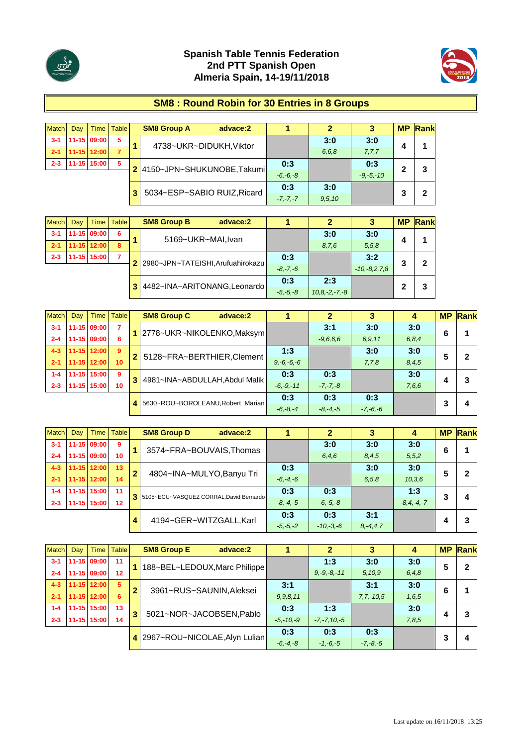



### **SM8 : Round Robin for 30 Entries in 8 Groups**

| <b>Match</b> | Dav | <b>Time</b> | <b>Table</b> |  | <b>SM8 Group A</b><br>advace:2 |              |       |               | <b>MP</b> | Rank |   |  |
|--------------|-----|-------------|--------------|--|--------------------------------|--------------|-------|---------------|-----------|------|---|--|
| $3 - 1$      |     | 11-15 09:00 | 5            |  | 4738~UKR~DIDUKH, Viktor        |              | 3:0   | 3:0           |           |      |   |  |
| $2 - 1$      |     | 11-15 12:00 | 7            |  |                                |              | 6,6,8 | 7,7,7         | 4         |      |   |  |
| $2 - 3$      |     | 11-15 15:00 | 5            |  | 2 4150~JPN~SHUKUNOBE,Takumi    | 0:3          |       | 0:3           | 2         | 3    |   |  |
|              |     |             |              |  |                                | $-6, -6, -8$ |       | $-9. -5. -10$ |           |      |   |  |
|              |     |             |              |  | 5034~ESP~SABIO RUIZ, Ricard    | 0:3          | 3:0   |               |           |      |   |  |
|              |     |             |              |  |                                |              |       | $-7, -7, -7$  | 9,5,10    |      | 3 |  |

| <b>Match</b> | Dav | Time        | <b>Table</b>   | <b>SM8 Group B</b><br>advace:2      |              |                     |                | <b>MP</b> | $\mathsf{Rank}$ |
|--------------|-----|-------------|----------------|-------------------------------------|--------------|---------------------|----------------|-----------|-----------------|
| $3-1$        |     | 11-15 09:00 | 6              | 5169~UKR~MAI, Ivan                  |              | 3:0                 | 3:0            |           |                 |
| $2 - 1$      |     | 11-15 12:00 | 8              |                                     |              | 8.7.6               | 5,5,8          |           |                 |
| $2 - 3$      |     | 11-15 15:00 | $\overline{7}$ | 2 2980~JPN~TATEISHI, Arufuahirokazu | 0:3          |                     | 3:2            |           |                 |
|              |     |             |                |                                     | $-8, -7, -6$ |                     | $-10,-8,2,7,8$ |           |                 |
|              |     |             |                | 4482~INA~ARITONANG,Leonardo         | 0:3          | 2:3                 |                |           |                 |
|              |     |             |                |                                     | $-5, -5, -8$ | $10, 8, -2, -7, -8$ |                |           |                 |

| <b>Match</b> | Dav |             | Time   Table |                | <b>SM8 Group C</b><br>advace:2    |               |              | 3            | 4       |   | <b>MP</b> Rank |
|--------------|-----|-------------|--------------|----------------|-----------------------------------|---------------|--------------|--------------|---------|---|----------------|
| $3 - 1$      |     | 11-15 09:00 | 7            |                | 1 2778~UKR~NIKOLENKO,Maksym       |               | 3:1          | 3:0          | 3:0     | 6 |                |
| $2 - 4$      |     | 11-15 09:00 | 8            |                |                                   |               | $-9,6,6,6$   | 6,9,11       | 6, 8, 4 |   |                |
| $4 - 3$      |     | 11-15 12:00 | -9           | $\overline{2}$ | 5128~FRA~BERTHIER, Clement        | 1:3           |              | 3:0          | 3:0     | 5 | 2              |
| $2 - 1$      |     | 11-15 12:00 | 10           |                |                                   | $9,-6,-6,-6$  |              | 7,7,8        | 8,4,5   |   |                |
| $1 - 4$      |     | 11-15 15:00 | 9            | 3              | 4981~INA~ABDULLAH, Abdul Malik    | 0:3           | 0:3          |              | 3:0     |   | 3              |
| $2 - 3$      |     | 11-15 15:00 | 10           |                |                                   | $-6, -9, -11$ | $-7, -7, -8$ |              | 7,6,6   |   |                |
|              |     |             |              |                | 5630~ROU~BOROLEANU, Robert Marian | 0:3           | 0:3          | 0:3          |         | 3 |                |
|              |     |             |              |                |                                   | $-6, -8, -4$  | $-8, -4, -5$ | $-7, -6, -6$ |         |   | 4              |

| <b>Match</b> | Dav | Time I                 | Table |              | <b>SM8 Group D</b><br>advace:2            |               | $\mathbf{2}$ |         | 4              | <b>MP</b> | Rank |
|--------------|-----|------------------------|-------|--------------|-------------------------------------------|---------------|--------------|---------|----------------|-----------|------|
| $3 - 1$      |     | 11-15 09:00            | 9     |              | 3574~FRA~BOUVAIS, Thomas                  |               | 3:0          | 3:0     | 3:0            | 6         |      |
| $2 - 4$      |     | 11-15 09:00            | 10    |              |                                           |               | 6,4,6        | 8.4.5   | 5,5,2          |           |      |
| $4 - 3$      |     | 11-15 12:00            | 13    | $\mathbf{2}$ | 4804~INA~MULYO, Banyu Tri                 | 0:3           |              | 3:0     | 3:0            | 5         | 2    |
| $2 - 1$      |     | 11-15 12:00            | 14    |              |                                           | $-6, -4, -6$  |              | 6, 5, 8 | 10, 3, 6       |           |      |
| $1 - 4$      |     | 11-15 15:00            | 11    |              | 3 5105~ECU~VASQUEZ CORRAL, David Bernardo | 0:3           | 0:3          |         | 1:3            | 3         | 4    |
| $2 - 3$      |     | 11-15 15:00            | 12    |              |                                           | $-8, -4, -5$  | $-6, -5, -8$ |         | $-8.4 - 4 - 7$ |           |      |
|              |     |                        |       |              |                                           | 0:3           | 0:3          | 3:1     |                |           | 3    |
|              | 4   | 4194~GER~WITZGALL,Karl |       | $-5, -5, -2$ | $-10,-3,-6$                               | $8, -4, 4, 7$ |              |         |                |           |      |

| <b>Match</b> | Dav |                 | Time   Table |   | <b>SM8 Group E</b><br>advace:2 |               |                  |              | 4     | <b>MP</b> | Rank |
|--------------|-----|-----------------|--------------|---|--------------------------------|---------------|------------------|--------------|-------|-----------|------|
| $3 - 1$      |     | 11-15 09:00     | 11           |   | 188~BEL~LEDOUX, Marc Philippe  |               | 1:3              | 3:0          | 3:0   | 5         | 2    |
| $2 - 4$      |     | 11-15 09:00     | 12           |   |                                |               | $9, -9, -8, -11$ | 5,10,9       | 6,4,8 |           |      |
| $4 - 3$      |     | $11 - 15$ 12:00 | 5            | 2 |                                | 3:1           |                  | 3:1          | 3:0   | 6         |      |
| $2 - 1$      |     | 11-15 12:00     | 6            |   | 3961~RUS~SAUNIN, Aleksei       | $-9,9,8,11$   |                  | $7,7,-10,5$  | 1,6,5 |           |      |
| $1 - 4$      |     | 11-15 15:00     | 13           | 3 | 5021~NOR~JACOBSEN, Pablo       | 0:3           | 1:3              |              | 3:0   |           | 3    |
| $2 - 3$      |     | 11-15 15:00     | 14           |   |                                | $-5, -10, -9$ | $-7, -7, 10, -5$ |              | 7,8,5 | 4         |      |
|              |     |                 |              |   | 2967~ROU~NICOLAE, Alyn Lulian  | 0:3           | 0:3              | 0:3          |       | າ         |      |
|              |     |                 |              |   |                                | $-6, -4, -8$  | $-1,-6,-5$       | $-7, -8, -5$ |       |           | 4    |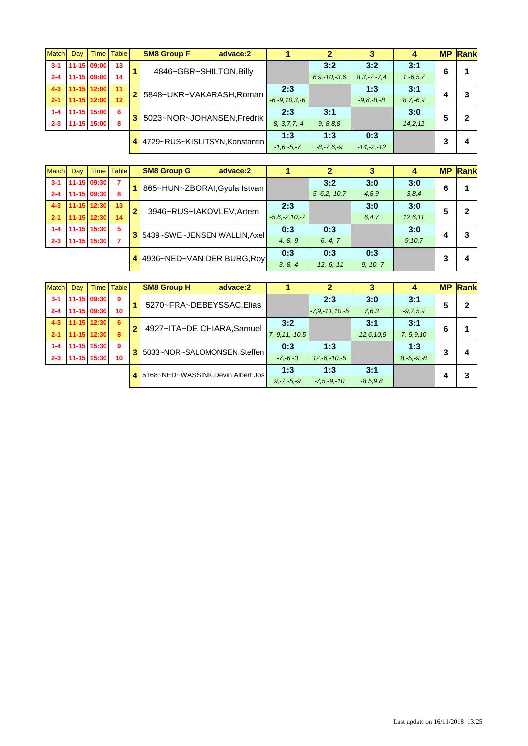| <b>Match</b> | Dav |             | Time   Table |   | <b>SM8 Group F</b><br>advace:2 |                     |                  |                   |               | <b>MP</b> | Rank |
|--------------|-----|-------------|--------------|---|--------------------------------|---------------------|------------------|-------------------|---------------|-----------|------|
| $3 - 1$      |     | 11-15 09:00 | 13           |   | 4846~GBR~SHILTON, Billy        |                     | 3:2              | 3:2               | 3:1           | 6         |      |
| $2 - 4$      |     | 11-15 09:00 | 14           |   |                                |                     | $6.9 - 10 - 3.6$ | $8, 3, -7, -7, 4$ | $1, -6, 5, 7$ |           |      |
| $4 - 3$      |     | 11-15 12:00 | 11           |   | 5848~UKR~VAKARASH, Roman       | 2:3                 |                  | 1:3               | 3:1           |           | 3    |
| $2 - 1$      |     | 11-15 12:00 | 12           |   |                                | $-6, -9, 10, 3, -6$ |                  | $-9.8 - 8 - 8$    | $8, 7, -6, 9$ |           |      |
| $1 - 4$      |     | 11-15 15:00 | 6            |   | 5023~NOR~JOHANSEN, Fredrik     | 2:3                 | 3:1              |                   | 3:0           | 5         | 2    |
| $2 - 3$      |     | 11-15 15:00 | 8            |   |                                | $-8, -3, 7, 7, -4$  | $9, -8, 8, 8$    |                   | 14, 2, 12     |           |      |
|              |     |             |              |   | 4729~RUS~KISLITSYN, Konstantin | 1:3                 | 1:3              | 0:3               |               |           |      |
|              |     |             |              | 4 |                                | $-1.6 - 5 - 7$      | $-8, -7, 6, -9$  | $-14,-2,-12$      |               |           | 4    |

| <b>Match</b> | Dav | Time        | <b>Table</b> |              | <b>SM8 Group G</b><br>advace:2 |                     |                |               | 4         | <b>MP</b> | Rank |
|--------------|-----|-------------|--------------|--------------|--------------------------------|---------------------|----------------|---------------|-----------|-----------|------|
| $3 - 1$      |     | 11-15 09:30 |              |              | 865~HUN~ZBORAI, Gyula Istvan   |                     | 3:2            | 3:0           | 3:0       | 6         |      |
| $2 - 4$      |     | 11-15 09:30 | 8            |              |                                |                     | $5,-6.2,-10.7$ | 4.8.9         | 3,8,4     |           |      |
| $4 - 3$      |     | 11-15 12:30 | 13           | $\mathbf{2}$ | 3946~RUS~IAKOVLEV, Artem       | 2:3                 |                | 3:0           | 3:0       | 5         |      |
| $2 - 1$      |     | 11-15 12:30 | 14           |              |                                | $-5, 6, -2, 10, -7$ |                | 6, 4, 7       | 12, 6, 11 |           |      |
| $1 - 4$      |     | 11-15 15:30 | 5            |              | 5439~SWE~JENSEN WALLIN, Axel   | 0:3                 | 0:3            |               | 3:0       |           |      |
| $2 - 3$      |     | 11-15 15:30 |              |              |                                | $-4,-8,-9$          | $-6, -4, -7$   |               | 9,10,7    |           |      |
|              |     |             |              |              | 4936~NED~VAN DER BURG, Roy     | 0:3                 | 0:3            | 0:3           |           |           | 4    |
|              |     |             |              |              |                                | $-3,-8,-4$          | $-12,-6,-11$   | $-9, -10, -7$ |           |           |      |

| <b>Match</b> | Dav | Time I          | Table |                | <b>SM8 Group H</b><br>advace:2       |                    |                    |               | 4               |   | <b>MP Rank</b> |
|--------------|-----|-----------------|-------|----------------|--------------------------------------|--------------------|--------------------|---------------|-----------------|---|----------------|
| $3 - 1$      |     | 11-15 09:30     | 9     |                | 5270~FRA~DEBEYSSAC,Elias             |                    | 2:3                | 3:0           | 3:1             |   |                |
| $2 - 4$      |     | $11 - 15$ 09:30 | 10    |                |                                      |                    | $-7.9 - 11.10 - 5$ | 7,6,3         | $-9,7,5,9$      | C |                |
| $4 - 3$      |     | $11 - 15$ 12:30 | 6     | $\overline{2}$ | 4927~ITA~DE CHIARA, Samuel           | 3:2                |                    | 3:1           | 3:1             | 6 |                |
| $2 - 1$      |     | 11-15 12:30     | 8     |                |                                      | $7, -9, 11, -10.5$ |                    | $-12.6, 10.5$ | $7, -5, 9, 10$  |   |                |
| $1 - 4$      |     | 11-15 15:30     | -9    |                | 5033~NOR~SALOMONSEN, Steffen         | 0:3                | 1:3                |               | 1:3             | 3 |                |
| $2 - 3$      |     | 11-15 15:30     | 10    |                |                                      | $-7, -6, -3$       | $12,-6,-10,-5$     |               | $8, -5, -9, -8$ |   | 4              |
|              |     |                 |       |                | 4 5168~NED~WASSINK, Devin Albert Jos | 1:3                | 1:3                | 3:1           |                 |   |                |
|              |     |                 |       |                |                                      | $9, -7, -5, -9$    | $-7.5 - 9 - 10$    | $-8,5,9,8$    |                 |   |                |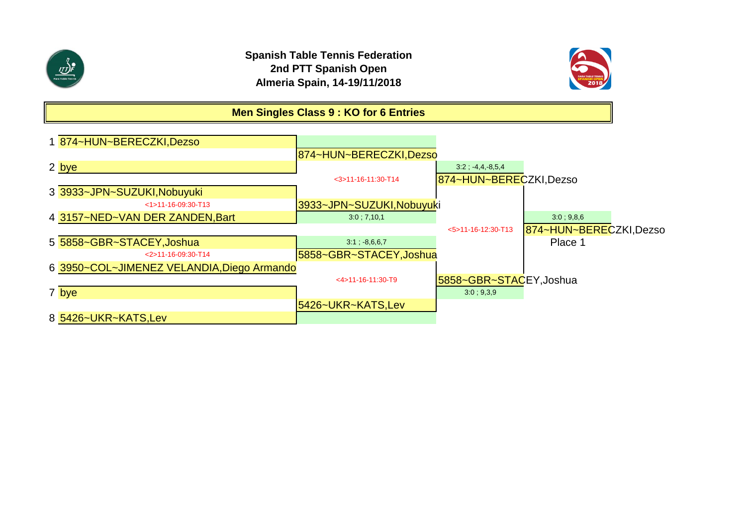



**Men Singles Class 9 : KO for 6 Entries**

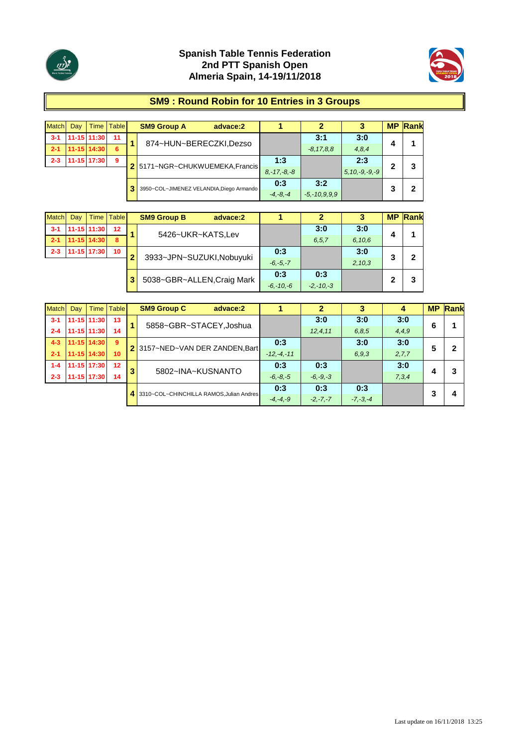



#### **SM9 : Round Robin for 10 Entries in 3 Groups**

| <b>Match</b> | Dav | Time I      | <b>Table</b> | <b>SM9 Group A</b><br>advace:2           |                  | 2                  |                     | <b>MP</b> | <b>Rank</b> |
|--------------|-----|-------------|--------------|------------------------------------------|------------------|--------------------|---------------------|-----------|-------------|
| $3 - 1$      |     | 11-15 11:30 | 11           | 874~HUN~BERECZKI,Dezso                   |                  | 3:1                | 3:0                 | 4         |             |
| $2 - 1$      |     | 11-15 14:30 | 6            |                                          |                  | $-8.17,8.8$        | 4,8,4               |           |             |
| $2 - 3$      |     | 11-15 17:30 | 9            | 2 5171~NGR~CHUKWUEMEKA, Francis          | 1:3              |                    | 2:3                 | 2         | 3           |
|              |     |             |              |                                          | $8, -17, -8, -8$ |                    | $5, 10, -9, -9, -9$ |           |             |
|              |     |             |              |                                          | 0:3              | 3:2                |                     |           |             |
|              |     |             |              | 3950~COL~JIMENEZ VELANDIA, Diego Armando | $-4, -8, -4$     | $-5, -10, 9, 9, 9$ |                     | 3         | 2           |

| <b>Match</b> | Dav | <b>Time</b>   | <b>Table</b> |   | <b>SM9 Group B</b> | advace:2                   |               |               | 3      | <b>MP</b> | Rank |
|--------------|-----|---------------|--------------|---|--------------------|----------------------------|---------------|---------------|--------|-----------|------|
| $3 - 1$      |     | $11-15$ 11:30 | 12           |   | 5426~UKR~KATS,Lev  |                            |               | 3:0           | 3:0    | 4         |      |
| $2 - 1$      |     | 11-15 14:30   | 8            |   |                    |                            |               | 6, 5, 7       | 6,10,6 |           |      |
| $2 - 3$      |     | 11-15 17:30   | 10           | ≘ |                    | 3933~JPN~SUZUKI, Nobuyuki  | 0:3           |               | 3:0    | 3         | 2    |
|              |     |               |              |   |                    |                            | $-6, -5, -7$  |               | 2,10,3 |           |      |
|              |     |               |              | 3 |                    |                            | 0:3           | 0:3           |        |           | 3    |
|              |     |               |              |   |                    | 5038~GBR~ALLEN, Craig Mark | $-6, -10, -6$ | $-2, -10, -3$ |        |           |      |

| <b>Match</b> | Day ' | Time I      | Table |   | <b>SM9 Group C</b> | advace:2                                |              |              | 3            |         | <b>MP</b> | Rank |
|--------------|-------|-------------|-------|---|--------------------|-----------------------------------------|--------------|--------------|--------------|---------|-----------|------|
| $3 - 1$      |       | 11-15 11:30 | 13    |   |                    | 5858~GBR~STACEY, Joshua                 |              | 3:0          | 3:0          | 3:0     | 6         |      |
| $2 - 4$      |       | 11-15 11:30 | 14    |   |                    |                                         |              | 12, 4, 11    | 6,8,5        | 4,4,9   |           |      |
| $4 - 3$      |       | 11-15 14:30 | 9     |   |                    | 2 3157~NED~VAN DER ZANDEN, Bart         | 0:3          |              | 3:0          | 3:0     | 5         | 2    |
| $2 - 1$      |       | 11-15 14:30 | 10    |   |                    |                                         | $-12,-4,-11$ |              | 6.9.3        | 2, 7, 7 |           |      |
| $1 - 4$      |       | 11-15 17:30 | 12    | 3 |                    | 5802~INA~KUSNANTO                       | 0:3          | 0:3          |              | 3:0     |           | 3    |
| $2 - 3$      |       | 1-15 17:30  | 14    |   |                    |                                         | $-6, -8, -5$ | $-6, -9, -3$ |              | 7,3,4   | 4         |      |
|              |       |             |       |   |                    | 3310~COL~CHINCHILLA RAMOS.Julian Andres | 0:3          | 0:3          | 0:3          |         | 3         | 4    |
|              |       |             |       |   |                    |                                         | $-4, -4, -9$ | $-2,-7,-7$   | $-7, -3, -4$ |         |           |      |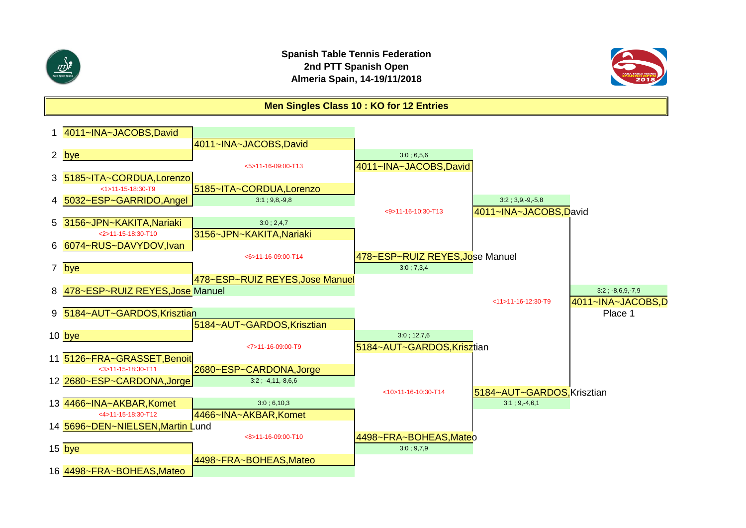

#### **Spanish Table Tennis Federation 2nd PTT Spanish Open Almeria Spain, 14-19/11/2018**



#### **Men Singles Class 10 : KO for 12 Entries**

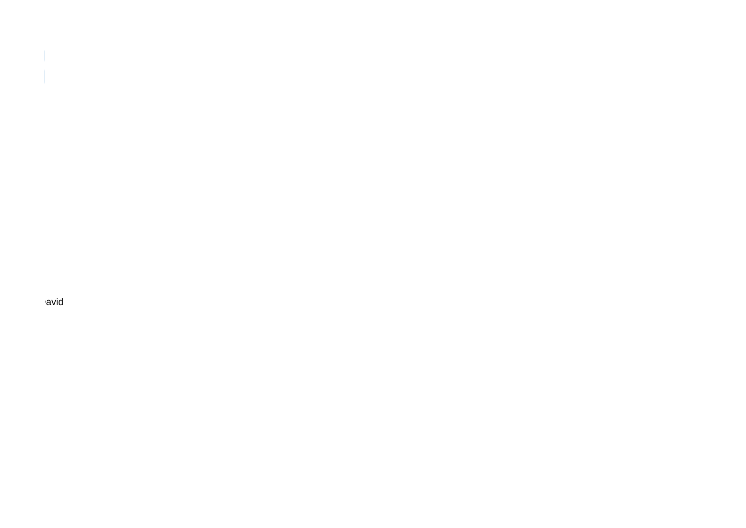avid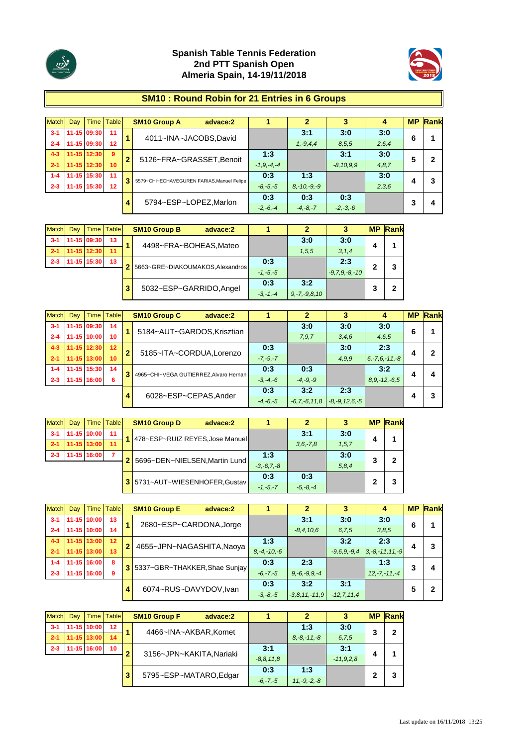



# **SM10 : Round Robin for 21 Entries in 6 Groups**

| Match   | Dav | Time        | <b>Table</b> |              | <b>SM10 Group A</b><br>advace:2           |                 |                  | 3              | 4     | <b>MP</b> | Rank |
|---------|-----|-------------|--------------|--------------|-------------------------------------------|-----------------|------------------|----------------|-------|-----------|------|
| $3 - 1$ |     | 11-15 09:30 | 11           |              | 4011~INA~JACOBS,David                     |                 | 3:1              | 3:0            | 3:0   | 6         |      |
| $2 - 4$ |     | 11-15 09:30 | 12           |              |                                           |                 | $1, -9, 4, 4$    | 8.5.5          | 2,6,4 |           |      |
| $4 - 3$ |     | 11-15 12:30 | -9           | $\mathbf{2}$ | 5126~FRA~GRASSET, Benoit                  | 1:3             |                  | 3:1            | 3:0   | 5         |      |
| $2 - 1$ |     | 11-15 12:30 | 10           |              |                                           | $-1, 9, -4, -4$ |                  | $-8, 10, 9, 9$ | 4,8,7 |           |      |
| $1 - 4$ |     | 11-15 15:30 | 11           |              | 5579~CHI~ECHAVEGUREN FARIAS.Manuel Felipe | 0:3             | 1:3              |                | 3:0   |           |      |
| $2 - 3$ |     | 11-15 15:30 | 12           |              |                                           | $-8, -5, -5$    | $8, -10, -9, -9$ |                | 2,3,6 |           |      |
|         |     |             |              |              | 5794~ESP~LOPEZ, Marlon                    | 0:3             | 0:3              | 0:3            |       |           | 4    |
|         |     |             |              |              |                                           | $-2,-6,-4$      | $-4, -8, -7$     | $-2, -3, -6$   |       |           |      |

| <b>Match</b> | Dav | Time I      | <b>Table</b> |   | <b>SM10 Group B</b>              | advace:2 |              | 2                  | з                   | <b>MP</b> | Rank |
|--------------|-----|-------------|--------------|---|----------------------------------|----------|--------------|--------------------|---------------------|-----------|------|
| $3 - 1$      |     | 11-15 09:30 | 13           |   | 4498~FRA~BOHEAS, Mateo           |          |              | 3:0                | 3:0                 | л         |      |
| $-2-1$       |     | 11-15 12:30 | 11           |   |                                  |          |              | 1,5,5              | 3, 1, 4             |           |      |
| $2 - 3$      |     | 11-15 15:30 | 13           |   | 5663~GRE~DIAKOUMAKOS, Alexandros |          | 0:3          |                    | 2:3                 | າ         | 3    |
|              |     |             |              |   |                                  |          | $-1, -5, -5$ |                    | $-9, 7, 9, -8, -10$ |           |      |
|              |     |             |              |   | 5032~ESP~GARRIDO, Angel          |          | 0:3          | 3:2                |                     |           |      |
|              |     |             |              | 3 |                                  |          | $-3, -1, -4$ | $9, -7, -9, 8, 10$ |                     | 3         | 2    |

| Match   | Day |             | Time   Table |              | <b>SM10 Group C</b><br>advace:2        |              |                    |                     | 4                   | <b>MP</b> | Rank |
|---------|-----|-------------|--------------|--------------|----------------------------------------|--------------|--------------------|---------------------|---------------------|-----------|------|
| $3 - 1$ |     | 11-15 09:30 | 14           |              | 5184~AUT~GARDOS, Krisztian             |              | 3:0                | 3:0                 | 3:0                 | 6         |      |
| $2 - 4$ |     | 11-15 10:00 | 10           |              |                                        |              | 7,9,7              | 3,4,6               | 4,6,5               |           |      |
| $4 - 3$ |     | 11-15 12:30 | 12           | $\mathbf{2}$ | 5185~ITA~CORDUA,Lorenzo                | 0:3          |                    | 3:0                 | 2:3                 |           |      |
| $2 - 1$ |     | 11-15 13:00 | 10           |              |                                        | $-7, -9, -7$ |                    | 4.9.9               | $6, -7, 6, -11, -8$ |           |      |
| $1 - 4$ |     | 11-15 15:30 | 14           | З            | 4965~CHI~VEGA GUTIERREZ, Alvaro Hernan | 0:3          | 0:3                |                     | 3:2                 |           | Δ    |
| $2 - 3$ |     | 11-15 16:00 | 6            |              |                                        | $-3, -4, -6$ | $-4, -9, -9$       |                     | $8, 9, -12, -6.5$   |           |      |
|         |     |             |              |              | 6028~ESP~CEPAS, Ander                  | 0:3          | 3:2                | 2:3                 |                     |           | 3    |
|         |     |             |              | 4            |                                        | $-4, -6, -5$ | $-6, 7, -6, 11, 8$ | $-8, -9, 12, 6, -5$ |                     |           |      |

| <b>Match</b> | Dav | <b>Time</b> | <b>Table</b> | <b>SM10 Group D</b><br>advace:2 |                              |                 |              |         |   | <b>MP Rank</b> |
|--------------|-----|-------------|--------------|---------------------------------|------------------------------|-----------------|--------------|---------|---|----------------|
| $3 - 1$      |     | 11-15 10:00 | 11           | 478~ESP~RUIZ REYES, Jose Manuel |                              |                 | 3:1          | 3:0     | 4 |                |
| $2 - 1$      |     | 11-15 13:00 | 11           |                                 |                              |                 | $3.6 - 7.8$  | 1, 5, 7 |   |                |
| $2 - 3$      |     | 11-15 16:00 |              | 5696~DEN~NIELSEN, Martin Lund   |                              |                 |              | 3:0     | 3 | 2              |
|              |     |             |              |                                 | 5731~AUT~WIESENHOFER, Gustav | $-3, -6, 7, -8$ |              | 5, 8, 4 |   |                |
|              |     |             |              |                                 |                              | 0:3             | 0:3          |         |   | 3              |
|              |     |             |              |                                 |                              | $-1, -5, -7$    | $-5, -8, -4$ |         |   |                |

| Match   | Dav | Time I          | <b>Table</b> |                            | <b>SM10 Group E</b><br>advace:2 |                   |                    | 3              | 4                    |   | <b>MP</b> Rank |
|---------|-----|-----------------|--------------|----------------------------|---------------------------------|-------------------|--------------------|----------------|----------------------|---|----------------|
| $3 - 1$ |     | 11-15 10:00     | $-13$        |                            | 2680~ESP~CARDONA, Jorge         |                   | 3:1                | 3:0            | 3:0                  | 6 |                |
| $2 - 4$ |     | 11-15 10:00     | 14           |                            |                                 |                   | $-8, 4, 10, 6$     | 6, 7, 5        | 3,8,5                |   |                |
| $4 - 3$ |     | $11 - 15$ 13:00 | $-12$        | $\mathbf{2}$               | 4655~JPN~NAGASHITA, Naoya       | 1:3               |                    | 3:2            | 2:3                  |   | 3              |
| $2 - 1$ |     | 11-15 13:00     | 13           |                            |                                 | $8, -4, -10, -6$  |                    | $-9.6.9 - 9.4$ | $3, -8, -11, 11, -9$ | 4 |                |
| $1 - 4$ |     | 11-15 16:00     | 8            | 3                          | 5337~GBR~THAKKER, Shae Sunjay   | 0:3               | 2:3                |                | 1:3                  | 3 | 4              |
| $2 - 3$ |     | 11-15 16:00     | 9            |                            |                                 | $-6, -7, -5$      | $9, -6, -9, 9, -4$ |                | $12, -7, -11, -4$    |   |                |
|         |     |                 |              |                            |                                 | 0:3               | 3:2                | 3:1            |                      |   | 2              |
|         |     |                 |              | 6074~RUS~DAVYDOV,Ivan<br>4 | $-3, -8, -5$                    | $-3.8, 11, -11.9$ | $-12, 7, 11, 4$    |                |                      |   |                |

| <b>Match</b> | Dav | Time        | <b>Table</b>    |                  | <b>SM10 Group F</b><br>advace:2 |                | $\mathbf{2}$     | 3           |   | <b>MP Rank</b> |
|--------------|-----|-------------|-----------------|------------------|---------------------------------|----------------|------------------|-------------|---|----------------|
| $3 - 1$      |     | 11-15 10:00 | 12 <sup>2</sup> |                  | 4466~INA~AKBAR, Komet           |                | 1:3              | 3:0         | 3 | 2              |
| $-2-1$       |     | 11-15 13:00 | 14              |                  |                                 |                | $8, -8, -11, -8$ | 6, 7, 5     |   |                |
| $2 - 3$      |     | 11-15 16:00 | 10 <sup>°</sup> | っ                | 3156~JPN~KAKITA, Nariaki        | 3:1            |                  | 3:1         | 4 |                |
|              |     |             |                 |                  |                                 | $-8, 8, 11, 8$ |                  | $-11,9,2,8$ |   |                |
|              |     |             |                 |                  | 5795~ESP~MATARO,Edgar           | 0:3            | 1:3              |             | 2 | 3              |
|              |     |             | $-6, -7, -5$    | $11, -9, -2, -8$ |                                 |                |                  |             |   |                |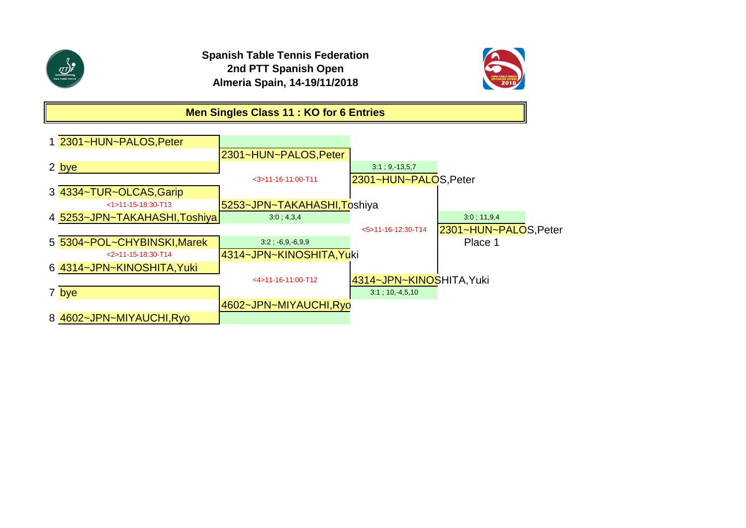

**Spanish Table Tennis Federation 2nd PTT Spanish Open Almeria Spain, 14-19/11/2018**



### **Men Singles Class 11 : KO for 6 Entries**